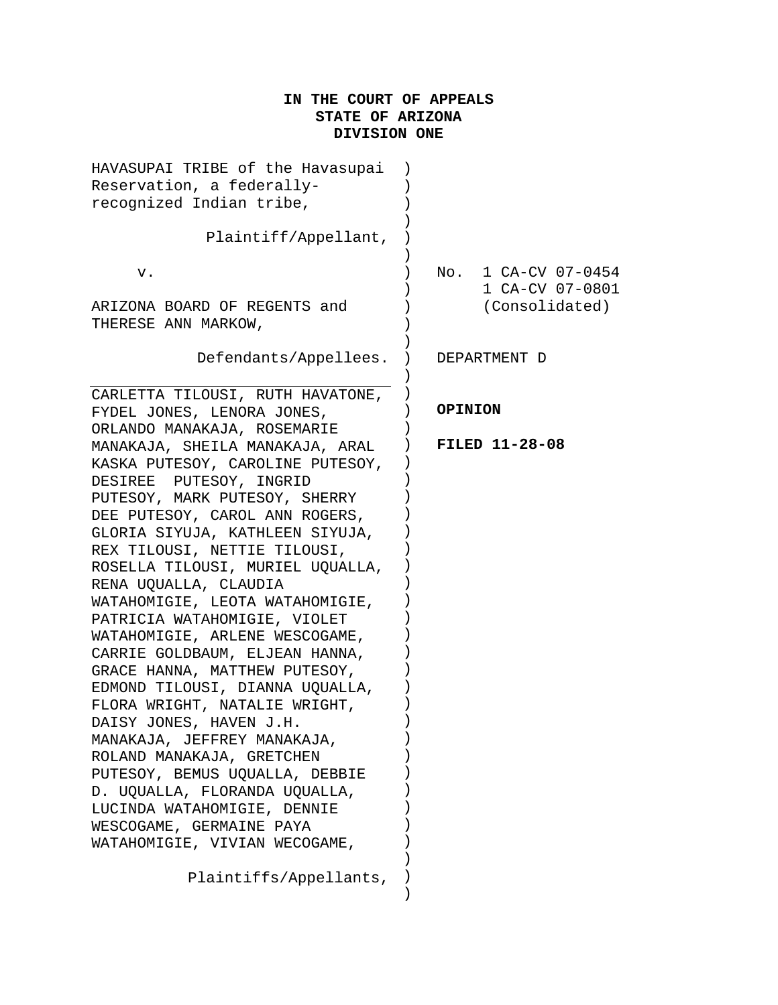# **IN THE COURT OF APPEALS STATE OF ARIZONA DIVISION ONE**

| HAVASUPAI TRIBE of the Havasupai<br>Reservation, a federally-<br>recognized Indian tribe,<br>Plaintiff/Appellant,                                                                                                                                                                                                                    |                                        |
|--------------------------------------------------------------------------------------------------------------------------------------------------------------------------------------------------------------------------------------------------------------------------------------------------------------------------------------|----------------------------------------|
|                                                                                                                                                                                                                                                                                                                                      |                                        |
| v.                                                                                                                                                                                                                                                                                                                                   | No. 1 CA-CV 07-0454<br>1 CA-CV 07-0801 |
| ARIZONA BOARD OF REGENTS and<br>THERESE ANN MARKOW,                                                                                                                                                                                                                                                                                  | (Consolidated)                         |
| Defendants/Appellees.                                                                                                                                                                                                                                                                                                                | DEPARTMENT D                           |
| CARLETTA TILOUSI, RUTH HAVATONE,                                                                                                                                                                                                                                                                                                     |                                        |
| FYDEL JONES, LENORA JONES,<br>ORLANDO MANAKAJA, ROSEMARIE                                                                                                                                                                                                                                                                            | <b>OPINION</b>                         |
| MANAKAJA, SHEILA MANAKAJA, ARAL<br>KASKA PUTESOY, CAROLINE PUTESOY,<br>DESIREE PUTESOY, INGRID<br>PUTESOY, MARK PUTESOY, SHERRY<br>DEE PUTESOY, CAROL ANN ROGERS,<br>GLORIA SIYUJA, KATHLEEN SIYUJA,<br>REX TILOUSI, NETTIE TILOUSI,<br>ROSELLA TILOUSI, MURIEL UQUALLA,<br>RENA UQUALLA, CLAUDIA<br>WATAHOMIGIE, LEOTA WATAHOMIGIE, | <b>FILED 11-28-08</b>                  |
| PATRICIA WATAHOMIGIE, VIOLET<br>WATAHOMIGIE, ARLENE WESCOGAME,                                                                                                                                                                                                                                                                       |                                        |
| CARRIE GOLDBAUM, ELJEAN HANNA,                                                                                                                                                                                                                                                                                                       |                                        |
| GRACE HANNA, MATTHEW PUTESOY,                                                                                                                                                                                                                                                                                                        |                                        |
| EDMOND TILOUSI, DIANNA UQUALLA,                                                                                                                                                                                                                                                                                                      |                                        |
| FLORA WRIGHT, NATALIE WRIGHT,                                                                                                                                                                                                                                                                                                        |                                        |
| DAISY JONES, HAVEN J.H.<br>MANAKAJA, JEFFREY MANAKAJA,                                                                                                                                                                                                                                                                               |                                        |
| ROLAND MANAKAJA, GRETCHEN                                                                                                                                                                                                                                                                                                            |                                        |
| PUTESOY, BEMUS UQUALLA, DEBBIE                                                                                                                                                                                                                                                                                                       |                                        |
| D. UQUALLA, FLORANDA UQUALLA,                                                                                                                                                                                                                                                                                                        |                                        |
| LUCINDA WATAHOMIGIE, DENNIE                                                                                                                                                                                                                                                                                                          |                                        |
| WESCOGAME, GERMAINE PAYA                                                                                                                                                                                                                                                                                                             |                                        |
| WATAHOMIGIE, VIVIAN WECOGAME,                                                                                                                                                                                                                                                                                                        |                                        |
| Plaintiffs/Appellants,                                                                                                                                                                                                                                                                                                               |                                        |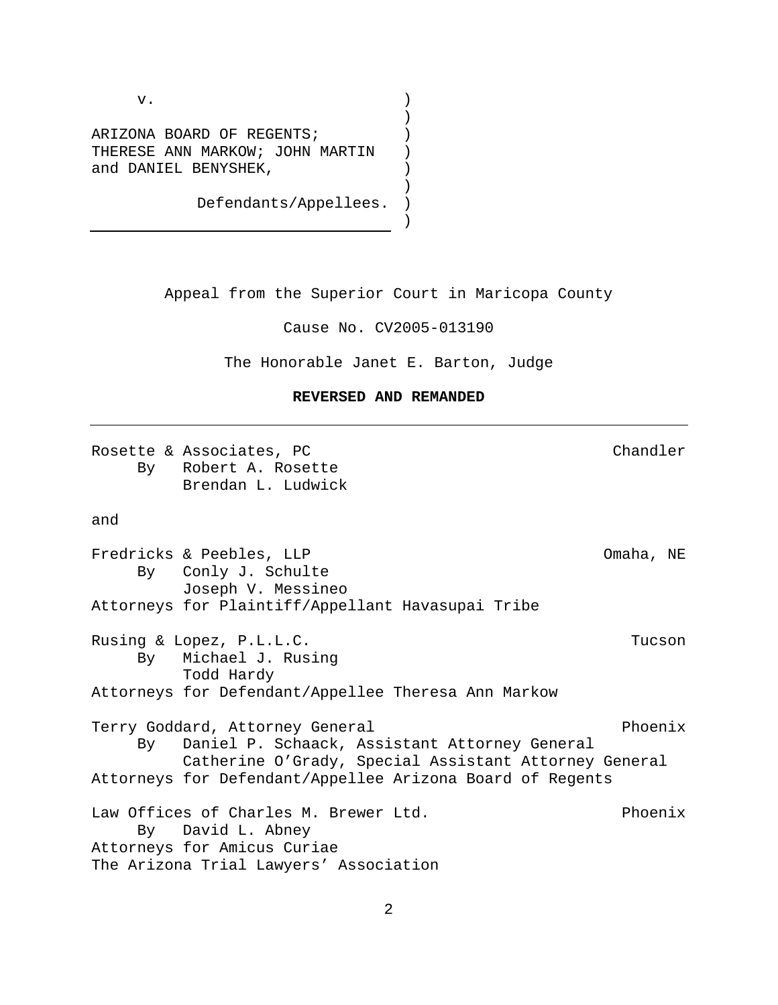v.

ARIZONA BOARD OF REGENTS; THERESE ANN MARKOW; JOHN MARTIN and DANIEL BENYSHEK,

Defendants/Appellees.

Appeal from the Superior Court in Maricopa County

) ) ) ) ) ) ) )

Cause No. CV2005-013190

The Honorable Janet E. Barton, Judge

## **REVERSED AND REMANDED**

Rosette & Associates, PC and the Chandler Chandler By Robert A. Rosette Brendan L. Ludwick

and

Fredricks & Peebles, LLP Omaha, NE By Conly J. Schulte Joseph V. Messineo Attorneys for Plaintiff/Appellant Havasupai Tribe Rusing & Lopez, P.L.L.C. Tucson By Michael J. Rusing Todd Hardy Attorneys for Defendant/Appellee Theresa Ann Markow Terry Goddard, Attorney General entitled and the Phoenix By Daniel P. Schaack, Assistant Attorney General Catherine O'Grady, Special Assistant Attorney General Attorneys for Defendant/Appellee Arizona Board of Regents Law Offices of Charles M. Brewer Ltd. The Phoenix By David L. Abney Attorneys for Amicus Curiae The Arizona Trial Lawyers' Association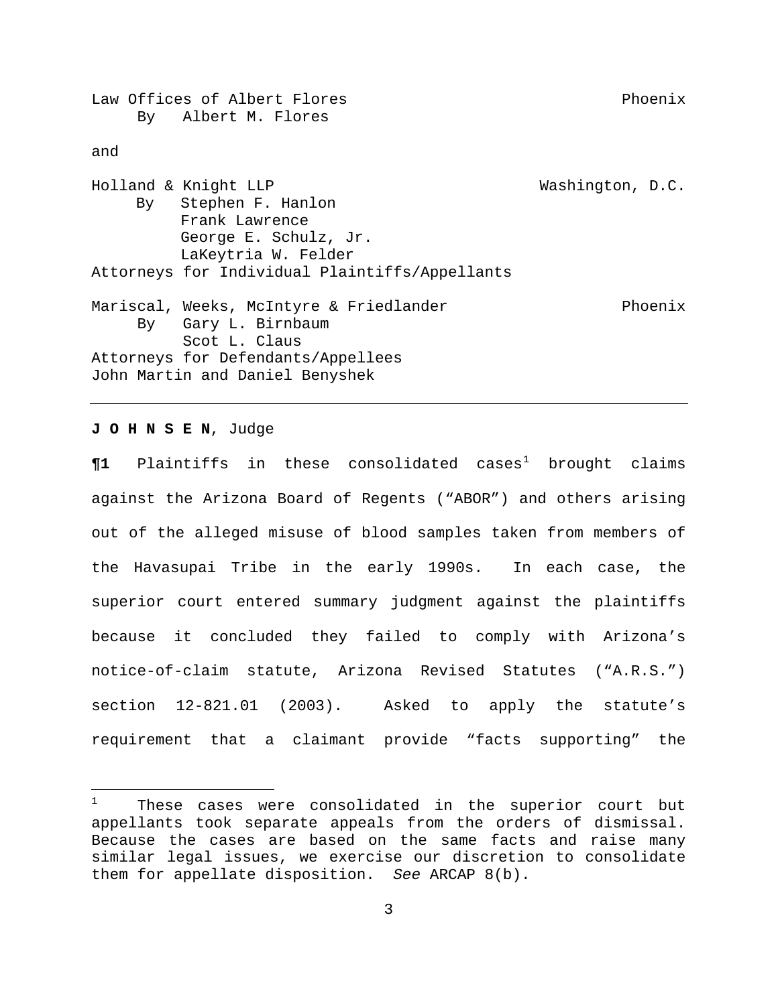Law Offices of Albert Flores entitled and the extension of Phoenix By Albert M. Flores and Holland & Knight LLP Washington, D.C. By Stephen F. Hanlon Frank Lawrence George E. Schulz, Jr. LaKeytria W. Felder Attorneys for Individual Plaintiffs/Appellants Mariscal, Weeks, McIntyre & Friedlander entitled and Phoenix By Gary L. Birnbaum Scot L. Claus Attorneys for Defendants/Appellees John Martin and Daniel Benyshek

## **J O H N S E N**, Judge

 $\P1$  $\P1$  Plaintiffs in these consolidated cases<sup>1</sup> brought claims against the Arizona Board of Regents ("ABOR") and others arising out of the alleged misuse of blood samples taken from members of the Havasupai Tribe in the early 1990s. In each case, the superior court entered summary judgment against the plaintiffs because it concluded they failed to comply with Arizona's notice-of-claim statute, Arizona Revised Statutes ("A.R.S.") section 12-821.01 (2003). Asked to apply the statute's requirement that a claimant provide "facts supporting" the

<span id="page-2-0"></span> $\frac{1}{1}$  These cases were consolidated in the superior court but appellants took separate appeals from the orders of dismissal. Because the cases are based on the same facts and raise many similar legal issues, we exercise our discretion to consolidate them for appellate disposition. *See* ARCAP 8(b).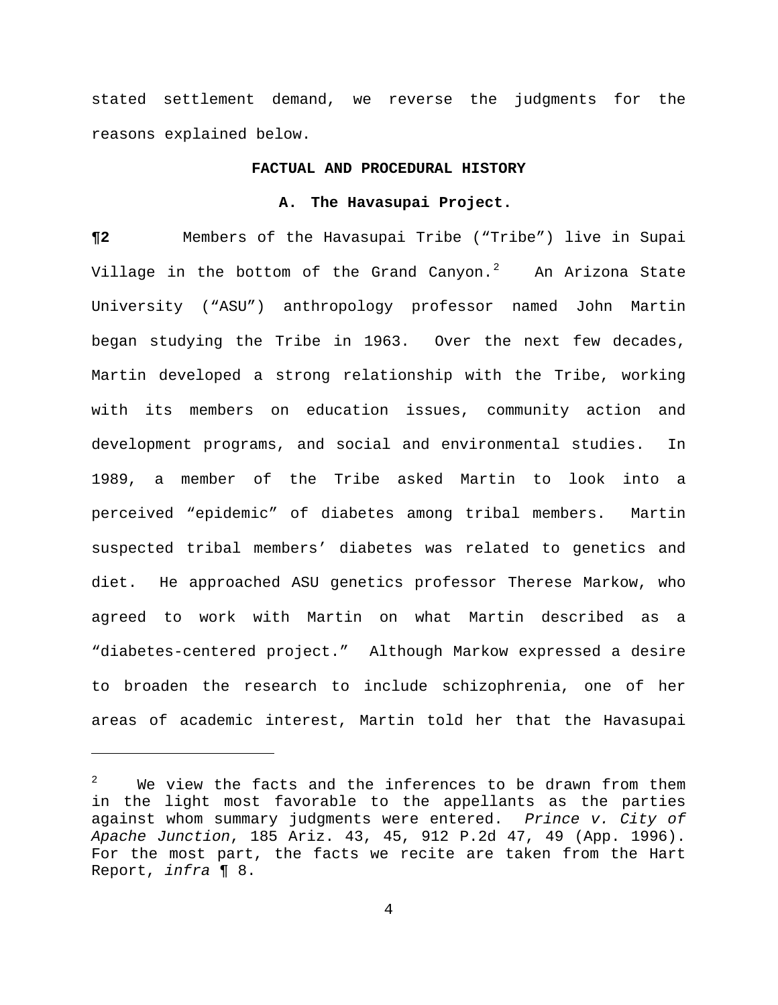stated settlement demand, we reverse the judgments for the reasons explained below.

### **FACTUAL AND PROCEDURAL HISTORY**

#### **A. The Havasupai Project.**

**¶2** Members of the Havasupai Tribe ("Tribe") live in Supai Village in the bottom of the Grand Canyon.<sup>[2](#page-3-0)</sup> An Arizona State University ("ASU") anthropology professor named John Martin began studying the Tribe in 1963. Over the next few decades, Martin developed a strong relationship with the Tribe, working with its members on education issues, community action and development programs, and social and environmental studies. In 1989, a member of the Tribe asked Martin to look into a perceived "epidemic" of diabetes among tribal members. Martin suspected tribal members' diabetes was related to genetics and diet. He approached ASU genetics professor Therese Markow, who agreed to work with Martin on what Martin described as a "diabetes-centered project." Although Markow expressed a desire to broaden the research to include schizophrenia, one of her areas of academic interest, Martin told her that the Havasupai

 $\overline{\phantom{0}}$ 

<span id="page-3-0"></span><sup>2</sup> We view the facts and the inferences to be drawn from them in the light most favorable to the appellants as the parties against whom summary judgments were entered. *Prince v. City of Apache Junction*, 185 Ariz. 43, 45, 912 P.2d 47, 49 (App. 1996). For the most part, the facts we recite are taken from the Hart Report, *infra* ¶ 8.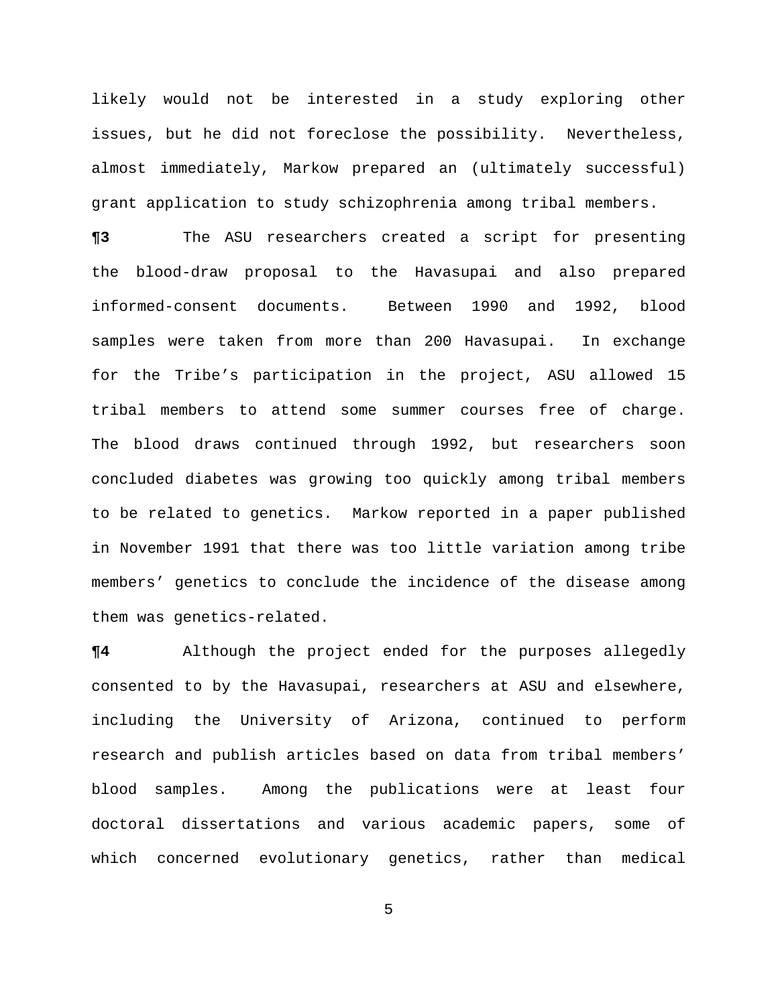likely would not be interested in a study exploring other issues, but he did not foreclose the possibility. Nevertheless, almost immediately, Markow prepared an (ultimately successful) grant application to study schizophrenia among tribal members.

**¶3** The ASU researchers created a script for presenting the blood-draw proposal to the Havasupai and also prepared informed-consent documents. Between 1990 and 1992, blood samples were taken from more than 200 Havasupai. In exchange for the Tribe's participation in the project, ASU allowed 15 tribal members to attend some summer courses free of charge. The blood draws continued through 1992, but researchers soon concluded diabetes was growing too quickly among tribal members to be related to genetics. Markow reported in a paper published in November 1991 that there was too little variation among tribe members' genetics to conclude the incidence of the disease among them was genetics-related.

**¶4** Although the project ended for the purposes allegedly consented to by the Havasupai, researchers at ASU and elsewhere, including the University of Arizona, continued to perform research and publish articles based on data from tribal members' blood samples. Among the publications were at least four doctoral dissertations and various academic papers, some of which concerned evolutionary genetics, rather than medical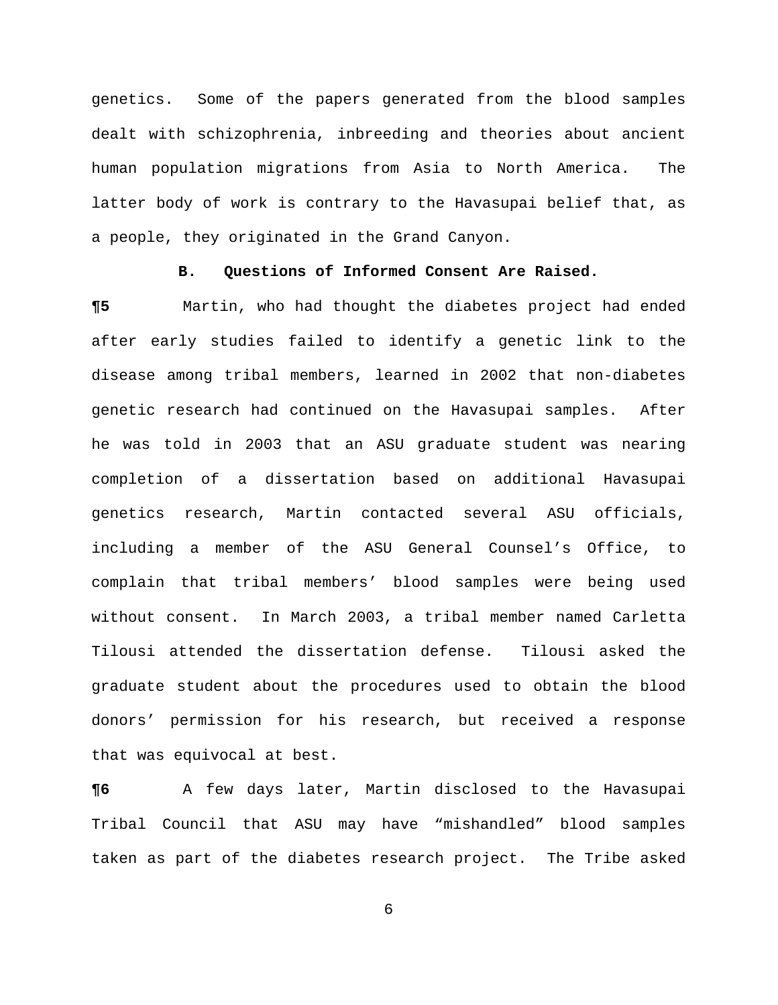genetics. Some of the papers generated from the blood samples dealt with schizophrenia, inbreeding and theories about ancient human population migrations from Asia to North America. The latter body of work is contrary to the Havasupai belief that, as a people, they originated in the Grand Canyon.

## **B. Questions of Informed Consent Are Raised.**

**¶5** Martin, who had thought the diabetes project had ended after early studies failed to identify a genetic link to the disease among tribal members, learned in 2002 that non-diabetes genetic research had continued on the Havasupai samples. After he was told in 2003 that an ASU graduate student was nearing completion of a dissertation based on additional Havasupai genetics research, Martin contacted several ASU officials, including a member of the ASU General Counsel's Office, to complain that tribal members' blood samples were being used without consent. In March 2003, a tribal member named Carletta Tilousi attended the dissertation defense. Tilousi asked the graduate student about the procedures used to obtain the blood donors' permission for his research, but received a response that was equivocal at best.

**¶6** A few days later, Martin disclosed to the Havasupai Tribal Council that ASU may have "mishandled" blood samples taken as part of the diabetes research project. The Tribe asked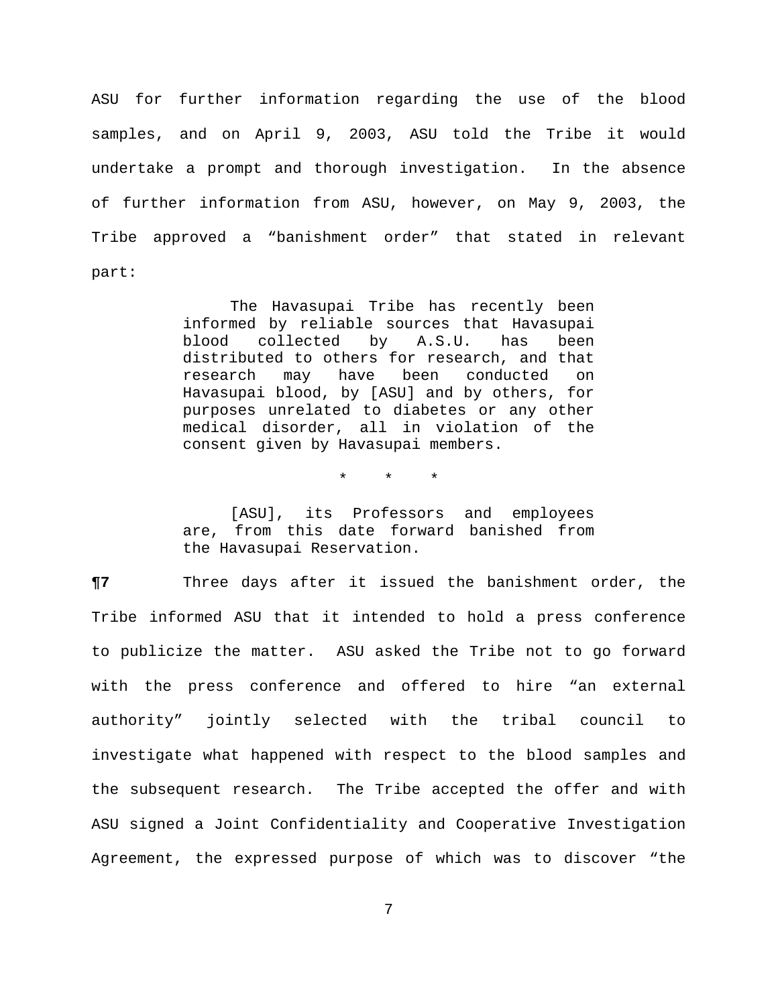ASU for further information regarding the use of the blood samples, and on April 9, 2003, ASU told the Tribe it would undertake a prompt and thorough investigation. In the absence of further information from ASU, however, on May 9, 2003, the Tribe approved a "banishment order" that stated in relevant part:

> The Havasupai Tribe has recently been informed by reliable sources that Havasupai blood collected by A.S.U. has been distributed to others for research, and that research may have been conducted on Havasupai blood, by [ASU] and by others, for purposes unrelated to diabetes or any other medical disorder, all in violation of the consent given by Havasupai members.

> > \* \* \*

[ASU], its Professors and employees are, from this date forward banished from the Havasupai Reservation.

**¶7** Three days after it issued the banishment order, the Tribe informed ASU that it intended to hold a press conference to publicize the matter. ASU asked the Tribe not to go forward with the press conference and offered to hire "an external authority" jointly selected with the tribal council to investigate what happened with respect to the blood samples and the subsequent research. The Tribe accepted the offer and with ASU signed a Joint Confidentiality and Cooperative Investigation Agreement, the expressed purpose of which was to discover "the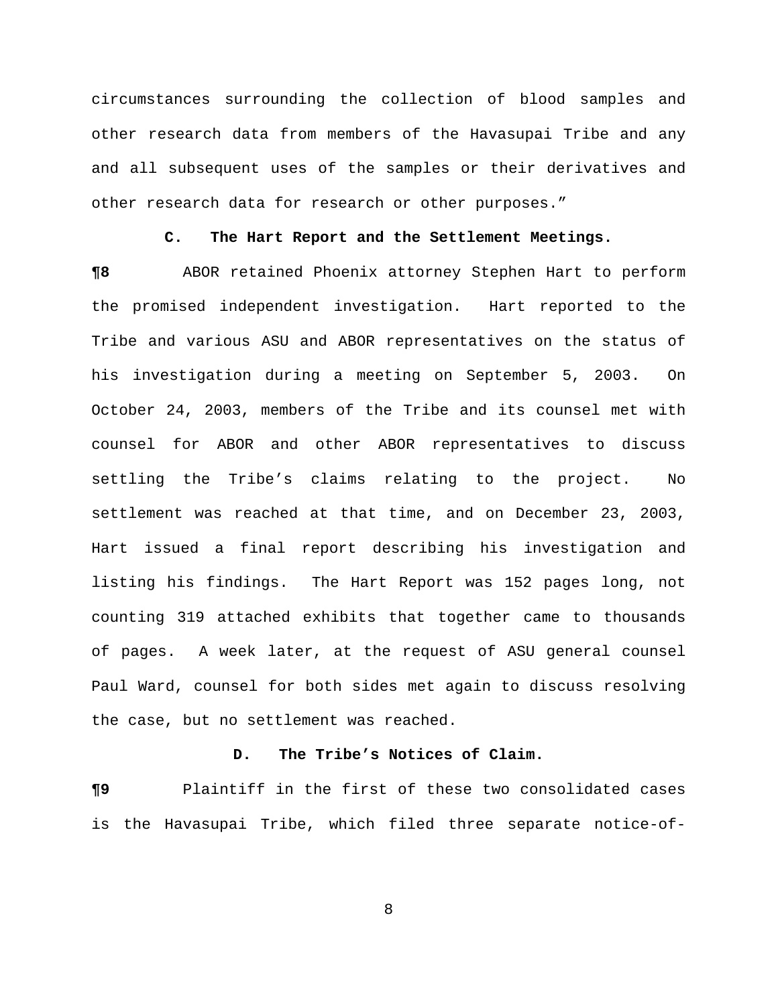circumstances surrounding the collection of blood samples and other research data from members of the Havasupai Tribe and any and all subsequent uses of the samples or their derivatives and other research data for research or other purposes."

#### **C. The Hart Report and the Settlement Meetings.**

**¶8** ABOR retained Phoenix attorney Stephen Hart to perform the promised independent investigation. Hart reported to the Tribe and various ASU and ABOR representatives on the status of his investigation during a meeting on September 5, 2003. On October 24, 2003, members of the Tribe and its counsel met with counsel for ABOR and other ABOR representatives to discuss settling the Tribe's claims relating to the project. No settlement was reached at that time, and on December 23, 2003, Hart issued a final report describing his investigation and listing his findings. The Hart Report was 152 pages long, not counting 319 attached exhibits that together came to thousands of pages. A week later, at the request of ASU general counsel Paul Ward, counsel for both sides met again to discuss resolving the case, but no settlement was reached.

## **D. The Tribe's Notices of Claim.**

**¶9** Plaintiff in the first of these two consolidated cases is the Havasupai Tribe, which filed three separate notice-of-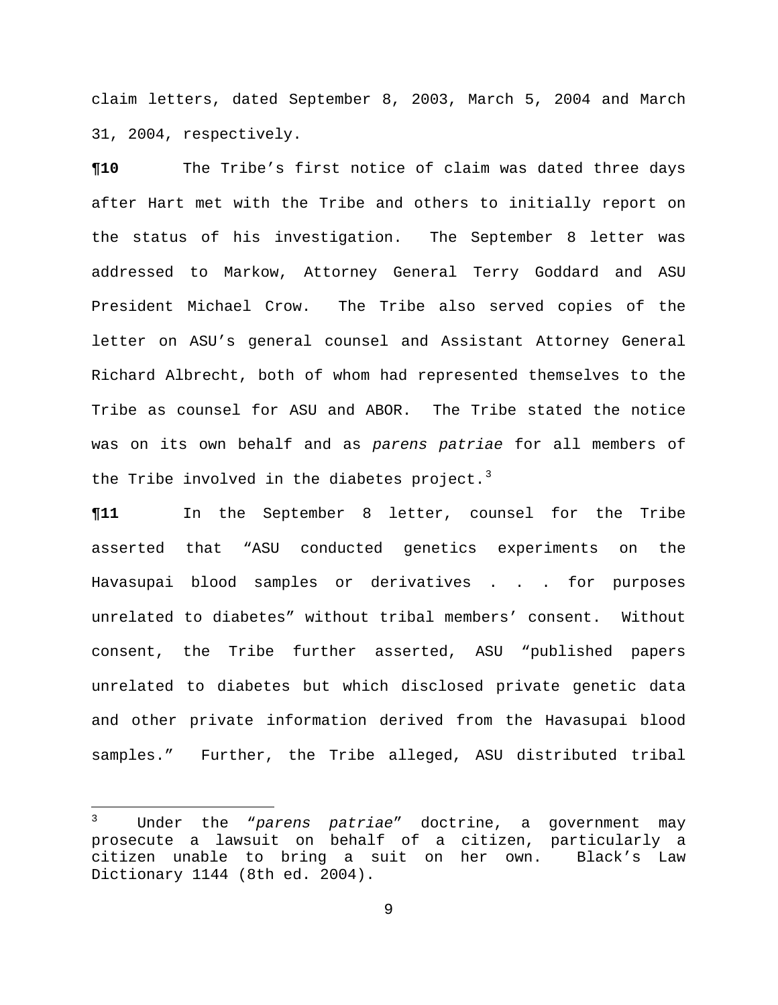claim letters, dated September 8, 2003, March 5, 2004 and March 31, 2004, respectively.

**¶10** The Tribe's first notice of claim was dated three days after Hart met with the Tribe and others to initially report on the status of his investigation. The September 8 letter was addressed to Markow, Attorney General Terry Goddard and ASU President Michael Crow. The Tribe also served copies of the letter on ASU's general counsel and Assistant Attorney General Richard Albrecht, both of whom had represented themselves to the Tribe as counsel for ASU and ABOR. The Tribe stated the notice was on its own behalf and as *parens patriae* for all members of the Tribe involved in the diabetes project.<sup>[3](#page-8-0)</sup>

**¶11** In the September 8 letter, counsel for the Tribe asserted that "ASU conducted genetics experiments on the Havasupai blood samples or derivatives . . . for purposes unrelated to diabetes" without tribal members' consent. Without consent, the Tribe further asserted, ASU "published papers unrelated to diabetes but which disclosed private genetic data and other private information derived from the Havasupai blood samples." Further, the Tribe alleged, ASU distributed tribal

<span id="page-8-0"></span> $\frac{1}{3}$  Under the "*parens patriae*" doctrine, a government may prosecute a lawsuit on behalf of a citizen, particularly a citizen unable to bring a suit on her own. Black's Law Dictionary 1144 (8th ed. 2004).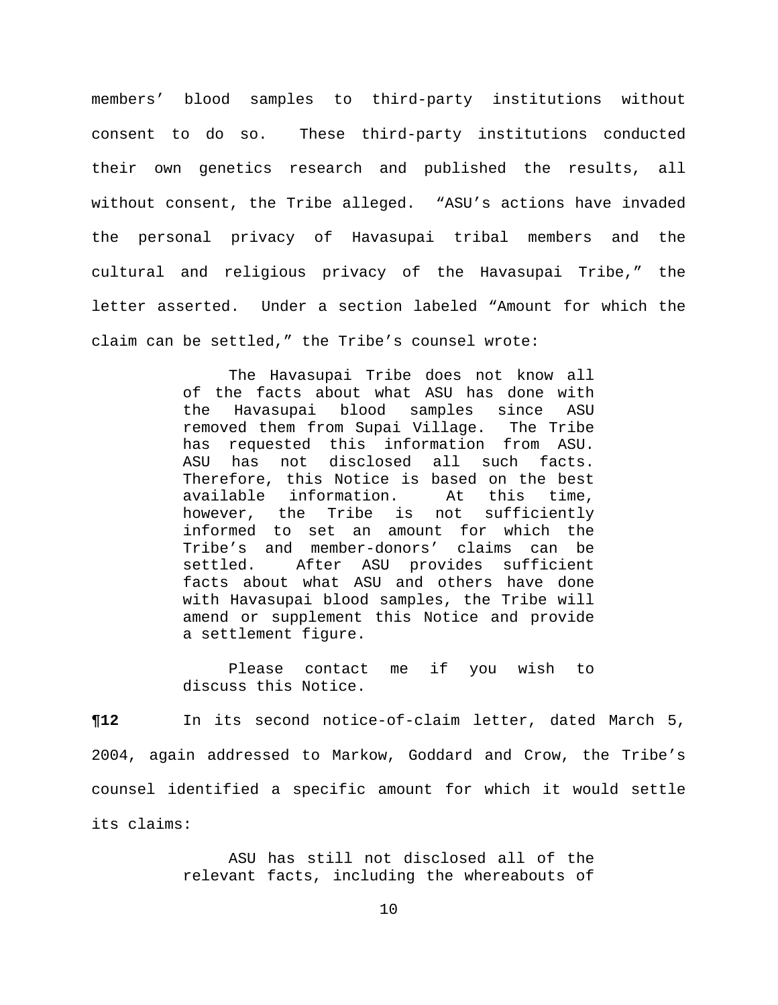members' blood samples to third-party institutions without consent to do so. These third-party institutions conducted their own genetics research and published the results, all without consent, the Tribe alleged. "ASU's actions have invaded the personal privacy of Havasupai tribal members and the cultural and religious privacy of the Havasupai Tribe," the letter asserted. Under a section labeled "Amount for which the claim can be settled," the Tribe's counsel wrote:

> The Havasupai Tribe does not know all of the facts about what ASU has done with the Havasupai blood samples since ASU removed them from Supai Village. The Tribe has requested this information from ASU. ASU has not disclosed all such facts. Therefore, this Notice is based on the best available information. At this time, however, the Tribe is not sufficiently informed to set an amount for which the Tribe's and member-donors' claims can be settled. After ASU provides sufficient facts about what ASU and others have done with Havasupai blood samples, the Tribe will amend or supplement this Notice and provide a settlement figure.

> Please contact me if you wish to discuss this Notice.

**¶12** In its second notice-of-claim letter, dated March 5, 2004, again addressed to Markow, Goddard and Crow, the Tribe's counsel identified a specific amount for which it would settle its claims:

> ASU has still not disclosed all of the relevant facts, including the whereabouts of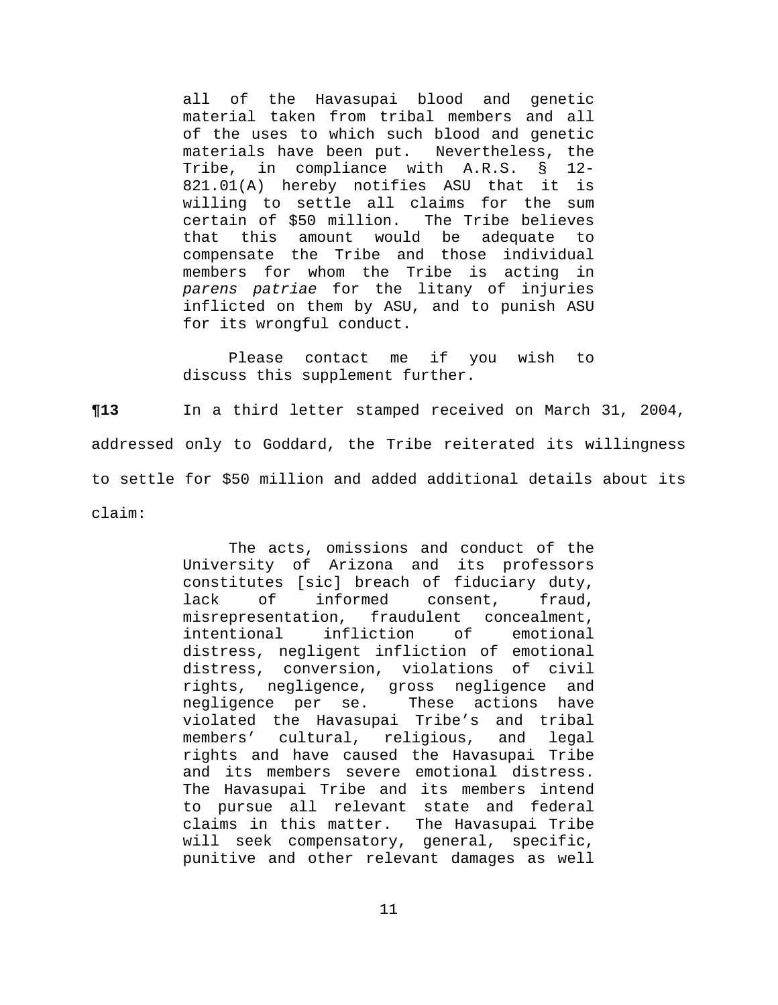all of the Havasupai blood and genetic material taken from tribal members and all of the uses to which such blood and genetic materials have been put. Nevertheless, the Tribe, in compliance with A.R.S. § 12- 821.01(A) hereby notifies ASU that it is willing to settle all claims for the sum certain of \$50 million. The Tribe believes that this amount would be adequate to compensate the Tribe and those individual members for whom the Tribe is acting in *parens patriae* for the litany of injuries inflicted on them by ASU, and to punish ASU for its wrongful conduct.

Please contact me if you wish to discuss this supplement further.

**¶13** In a third letter stamped received on March 31, 2004, addressed only to Goddard, the Tribe reiterated its willingness to settle for \$50 million and added additional details about its claim:

> The acts, omissions and conduct of the University of Arizona and its professors constitutes [sic] breach of fiduciary duty, lack of informed consent, fraud, misrepresentation, fraudulent concealment, intentional infliction of emotional distress, negligent infliction of emotional distress, conversion, violations of civil rights, negligence, gross negligence and negligence per se. These actions have violated the Havasupai Tribe's and tribal members' cultural, religious, and legal rights and have caused the Havasupai Tribe and its members severe emotional distress. The Havasupai Tribe and its members intend to pursue all relevant state and federal claims in this matter. The Havasupai Tribe will seek compensatory, general, specific, punitive and other relevant damages as well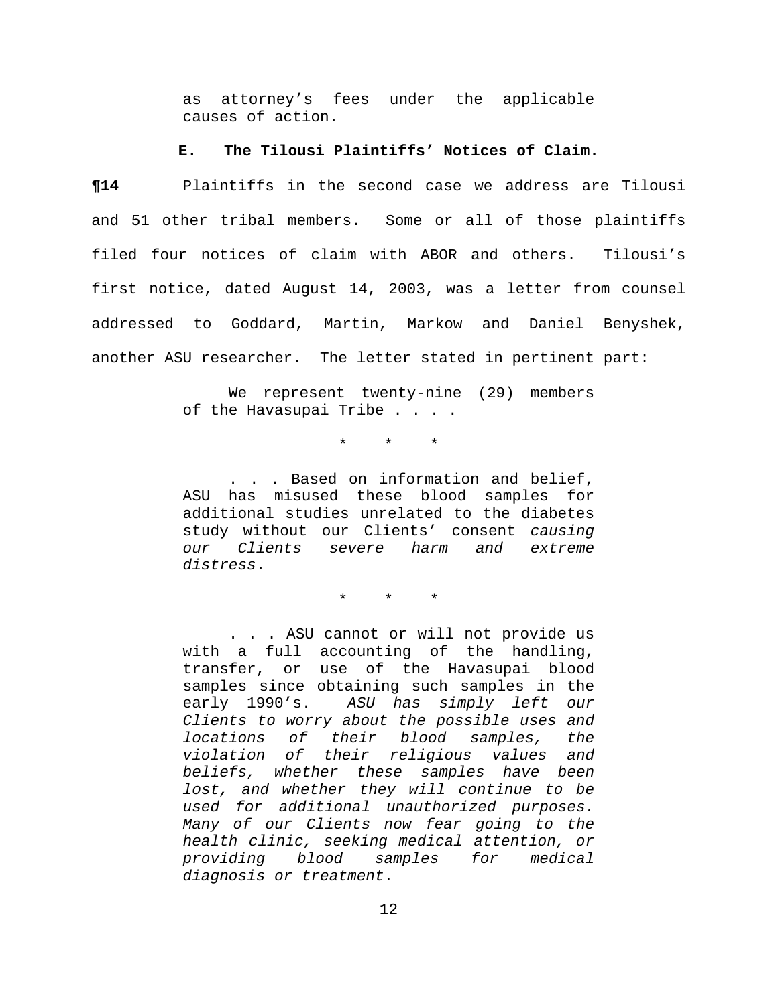as attorney's fees under the applicable causes of action.

#### **E. The Tilousi Plaintiffs' Notices of Claim.**

**¶14** Plaintiffs in the second case we address are Tilousi and 51 other tribal members. Some or all of those plaintiffs filed four notices of claim with ABOR and others. Tilousi's first notice, dated August 14, 2003, was a letter from counsel addressed to Goddard, Martin, Markow and Daniel Benyshek, another ASU researcher. The letter stated in pertinent part:

> We represent twenty-nine (29) members of the Havasupai Tribe . . . .

> > \* \* \*

. . . Based on information and belief, ASU has misused these blood samples for additional studies unrelated to the diabetes study without our Clients' consent *causing our Clients severe harm and extreme distress*.

\* \* \*

. . . ASU cannot or will not provide us with a full accounting of the handling, transfer, or use of the Havasupai blood samples since obtaining such samples in the early 1990's. *ASU has simply left our Clients to worry about the possible uses and locations of their blood samples, the violation of their religious values and beliefs, whether these samples have been lost, and whether they will continue to be used for additional unauthorized purposes. Many of our Clients now fear going to the health clinic, seeking medical attention, or providing blood samples for medical diagnosis or treatment*.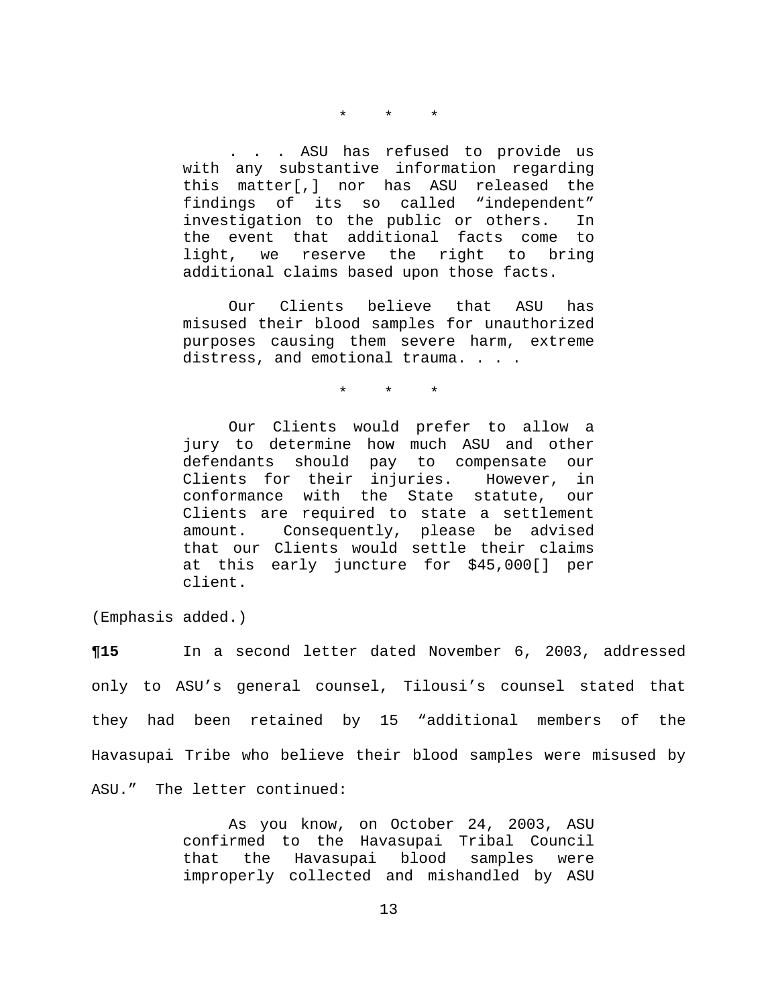#### \* \* \*

. . . ASU has refused to provide us with any substantive information regarding this matter[,] nor has ASU released the findings of its so called "independent" investigation to the public or others. In the event that additional facts come to light, we reserve the right to bring additional claims based upon those facts.

Our Clients believe that ASU has misused their blood samples for unauthorized purposes causing them severe harm, extreme distress, and emotional trauma. . . .

\* \* \*

Our Clients would prefer to allow a jury to determine how much ASU and other defendants should pay to compensate our Clients for their injuries. However, in conformance with the State statute, our Clients are required to state a settlement amount. Consequently, please be advised that our Clients would settle their claims at this early juncture for \$45,000[] per client.

(Emphasis added.)

**¶15** In a second letter dated November 6, 2003, addressed only to ASU's general counsel, Tilousi's counsel stated that they had been retained by 15 "additional members of the Havasupai Tribe who believe their blood samples were misused by ASU." The letter continued:

> As you know, on October 24, 2003, ASU confirmed to the Havasupai Tribal Council that the Havasupai blood samples were improperly collected and mishandled by ASU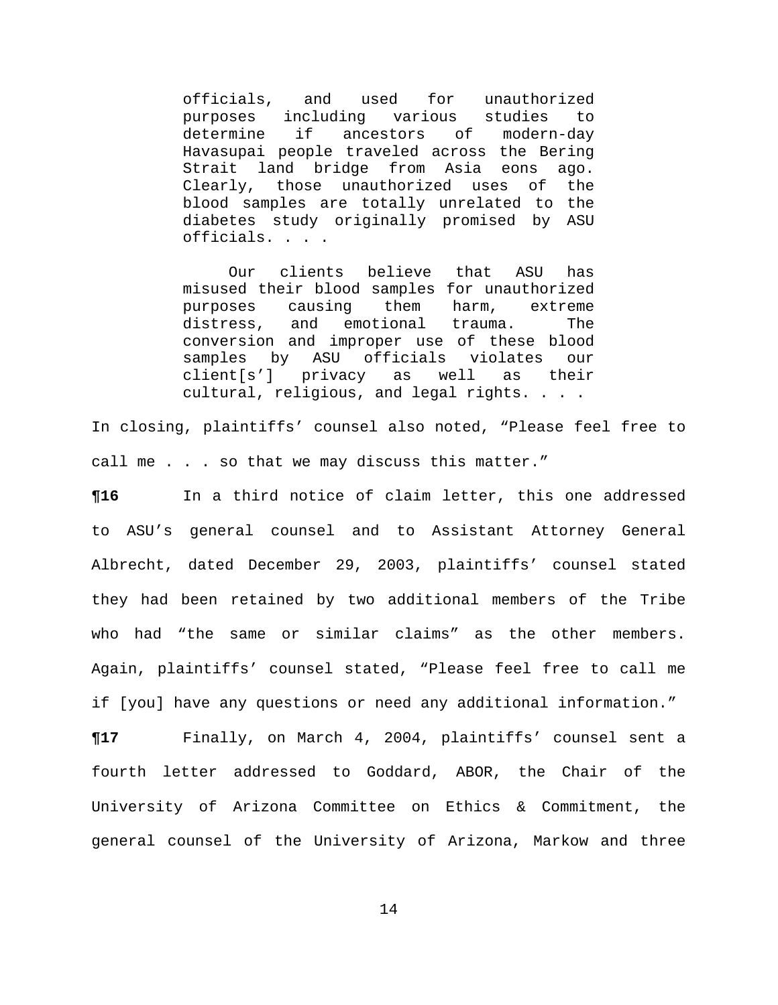officials, and used for unauthorized purposes including various studies to determine if ancestors of modern-day Havasupai people traveled across the Bering Strait land bridge from Asia eons ago. Clearly, those unauthorized uses of the blood samples are totally unrelated to the diabetes study originally promised by ASU officials. . . .

Our clients believe that ASU has misused their blood samples for unauthorized purposes causing them harm, extreme distress, and emotional trauma. The conversion and improper use of these blood samples by ASU officials violates our client[s'] privacy as well as their cultural, religious, and legal rights. . . .

In closing, plaintiffs' counsel also noted, "Please feel free to call me . . . so that we may discuss this matter."

**¶16** In a third notice of claim letter, this one addressed to ASU's general counsel and to Assistant Attorney General Albrecht, dated December 29, 2003, plaintiffs' counsel stated they had been retained by two additional members of the Tribe who had "the same or similar claims" as the other members. Again, plaintiffs' counsel stated, "Please feel free to call me if [you] have any questions or need any additional information."

**¶17** Finally, on March 4, 2004, plaintiffs' counsel sent a fourth letter addressed to Goddard, ABOR, the Chair of the University of Arizona Committee on Ethics & Commitment, the general counsel of the University of Arizona, Markow and three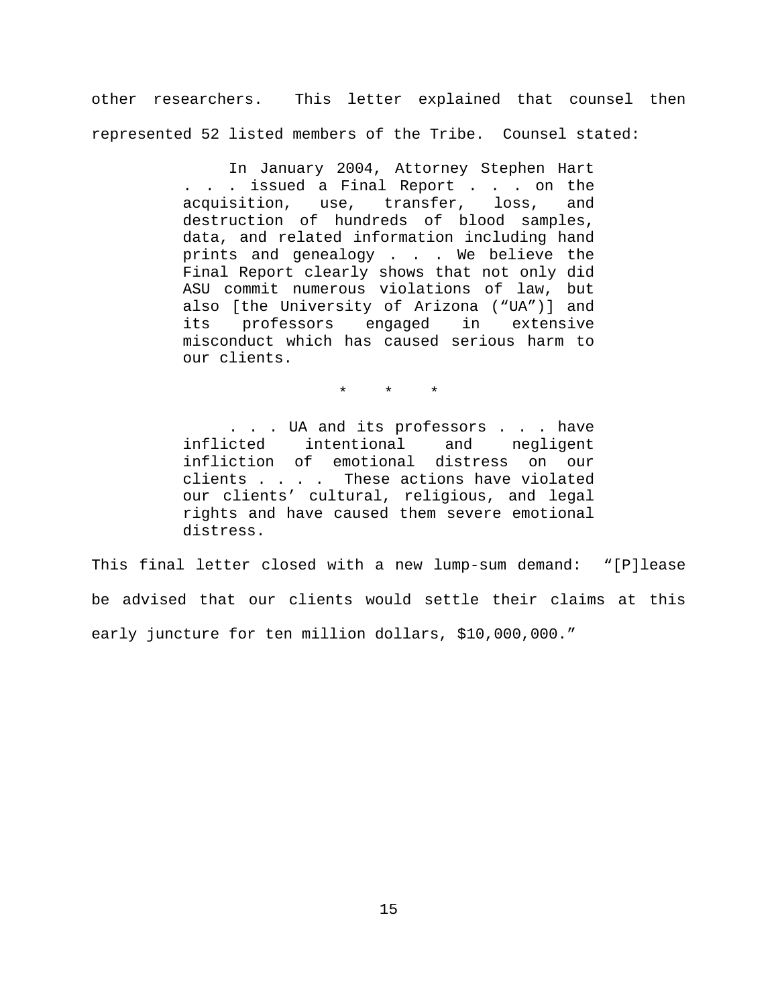other researchers. This letter explained that counsel then represented 52 listed members of the Tribe. Counsel stated:

> In January 2004, Attorney Stephen Hart . . . issued a Final Report . . . on the acquisition, use, transfer, loss, and destruction of hundreds of blood samples, data, and related information including hand prints and genealogy . . . We believe the Final Report clearly shows that not only did ASU commit numerous violations of law, but also [the University of Arizona ("UA")] and its professors engaged in extensive misconduct which has caused serious harm to our clients.

> > \* \* \*

. . . UA and its professors . . . have inflicted intentional and negligent infliction of emotional distress on our clients . . . . These actions have violated our clients' cultural, religious, and legal rights and have caused them severe emotional distress.

This final letter closed with a new lump-sum demand: "[P]lease be advised that our clients would settle their claims at this early juncture for ten million dollars, \$10,000,000."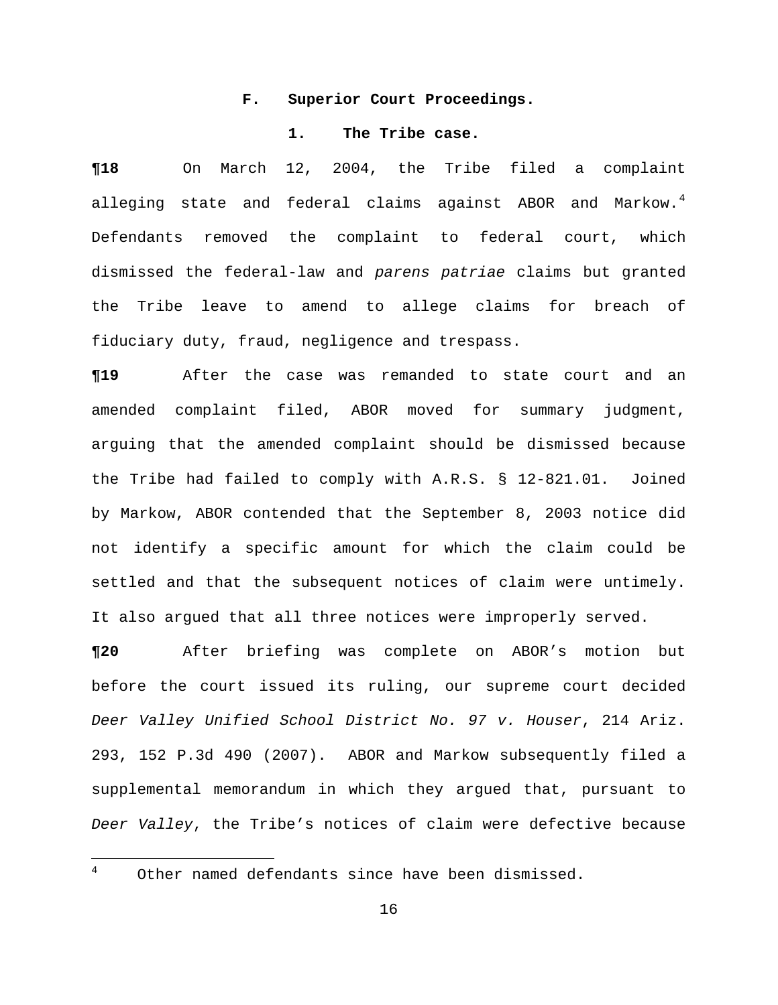## **F. Superior Court Proceedings.**

## **1. The Tribe case.**

**¶18** On March 12, 2004, the Tribe filed a complaint alleging state and federal claims against ABOR and Markow.<sup>4</sup> Defendants removed the complaint to federal court, which dismissed the federal-law and *parens patriae* claims but granted the Tribe leave to amend to allege claims for breach of fiduciary duty, fraud, negligence and trespass.

**¶19** After the case was remanded to state court and an amended complaint filed, ABOR moved for summary judgment, arguing that the amended complaint should be dismissed because the Tribe had failed to comply with A.R.S. § 12-821.01. Joined by Markow, ABOR contended that the September 8, 2003 notice did not identify a specific amount for which the claim could be settled and that the subsequent notices of claim were untimely. It also argued that all three notices were improperly served.

**¶20** After briefing was complete on ABOR's motion but before the court issued its ruling, our supreme court decided *Deer Valley Unified School District No. 97 v. Houser*, 214 Ariz. 293, 152 P.3d 490 (2007). ABOR and Markow subsequently filed a supplemental memorandum in which they argued that, pursuant to *Deer Valley*, the Tribe's notices of claim were defective because

<span id="page-15-0"></span> $\frac{1}{4}$ 

Other named defendants since have been dismissed.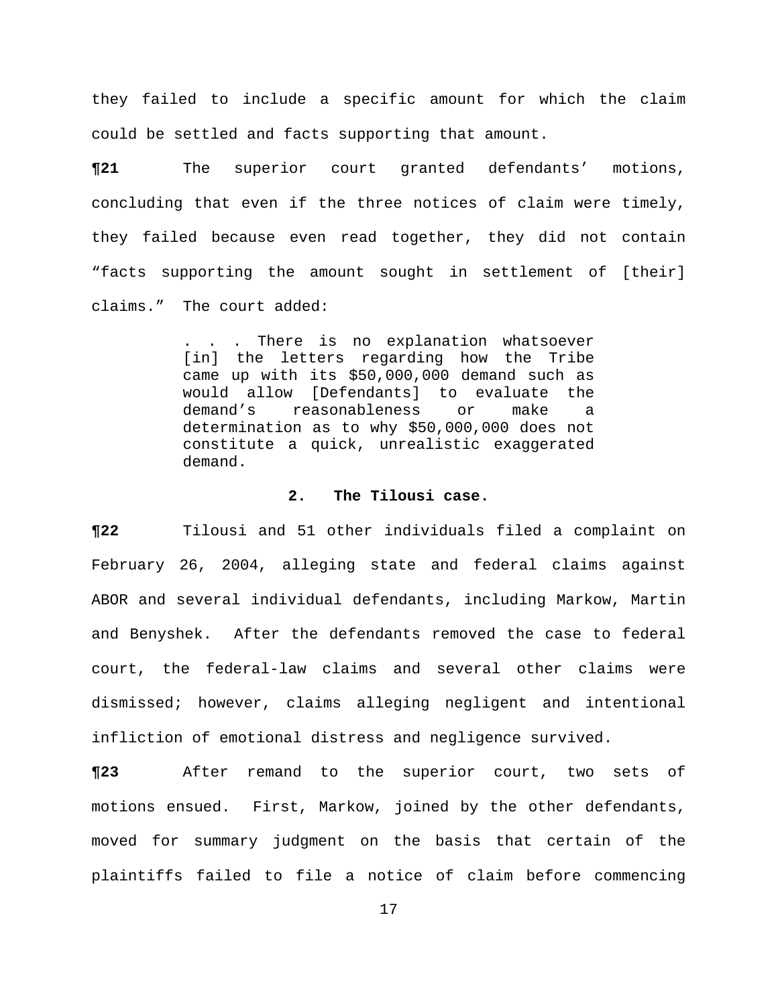they failed to include a specific amount for which the claim could be settled and facts supporting that amount.

**¶21** The superior court granted defendants' motions, concluding that even if the three notices of claim were timely, they failed because even read together, they did not contain "facts supporting the amount sought in settlement of [their] claims." The court added:

> . . . There is no explanation whatsoever [in] the letters regarding how the Tribe came up with its \$50,000,000 demand such as would allow [Defendants] to evaluate the demand's reasonableness or make a determination as to why \$50,000,000 does not constitute a quick, unrealistic exaggerated demand.

## **2. The Tilousi case.**

**¶22** Tilousi and 51 other individuals filed a complaint on February 26, 2004, alleging state and federal claims against ABOR and several individual defendants, including Markow, Martin and Benyshek. After the defendants removed the case to federal court, the federal-law claims and several other claims were dismissed; however, claims alleging negligent and intentional infliction of emotional distress and negligence survived.

**¶23** After remand to the superior court, two sets of motions ensued. First, Markow, joined by the other defendants, moved for summary judgment on the basis that certain of the plaintiffs failed to file a notice of claim before commencing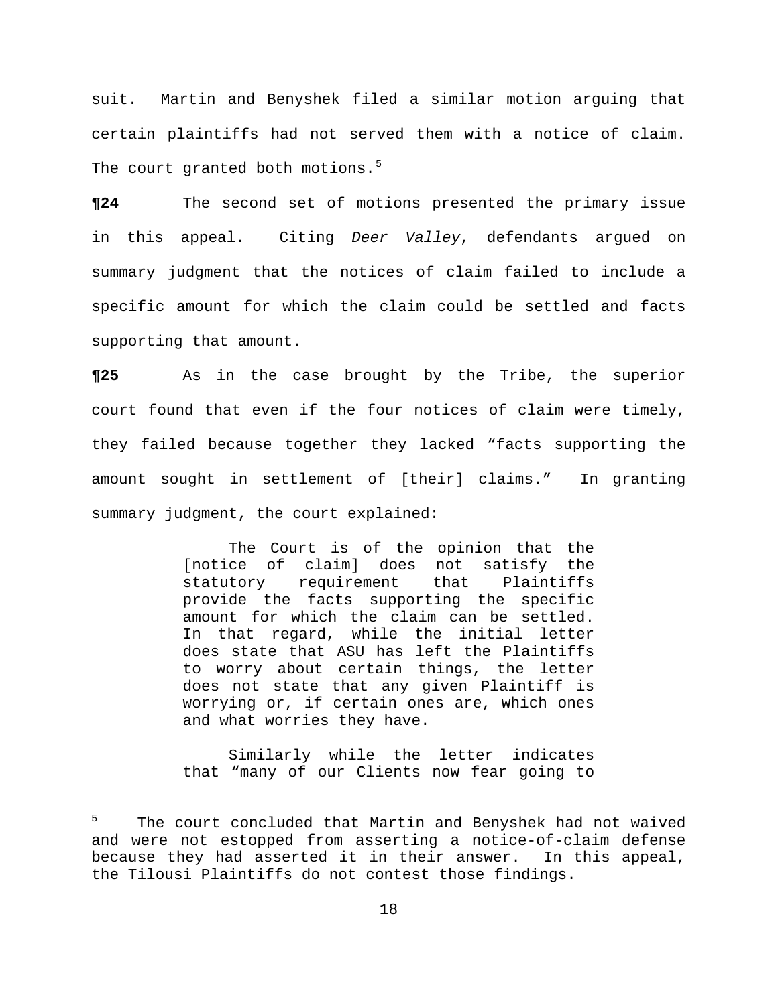suit. Martin and Benyshek filed a similar motion arguing that certain plaintiffs had not served them with a notice of claim. The court granted both motions.<sup>5</sup>

**¶24** The second set of motions presented the primary issue in this appeal. Citing *Deer Valley*, defendants argued on summary judgment that the notices of claim failed to include a specific amount for which the claim could be settled and facts supporting that amount.

**¶25** As in the case brought by the Tribe, the superior court found that even if the four notices of claim were timely, they failed because together they lacked "facts supporting the amount sought in settlement of [their] claims." In granting summary judgment, the court explained:

> The Court is of the opinion that the [notice of claim] does not satisfy the statutory requirement that Plaintiffs provide the facts supporting the specific amount for which the claim can be settled. In that regard, while the initial letter does state that ASU has left the Plaintiffs to worry about certain things, the letter does not state that any given Plaintiff is worrying or, if certain ones are, which ones and what worries they have.

> Similarly while the letter indicates that "many of our Clients now fear going to

i

<sup>5</sup> The court concluded that Martin and Benyshek had not waived and were not estopped from asserting a notice-of-claim defense because they had asserted it in their answer. In this appeal, the Tilousi Plaintiffs do not contest those findings.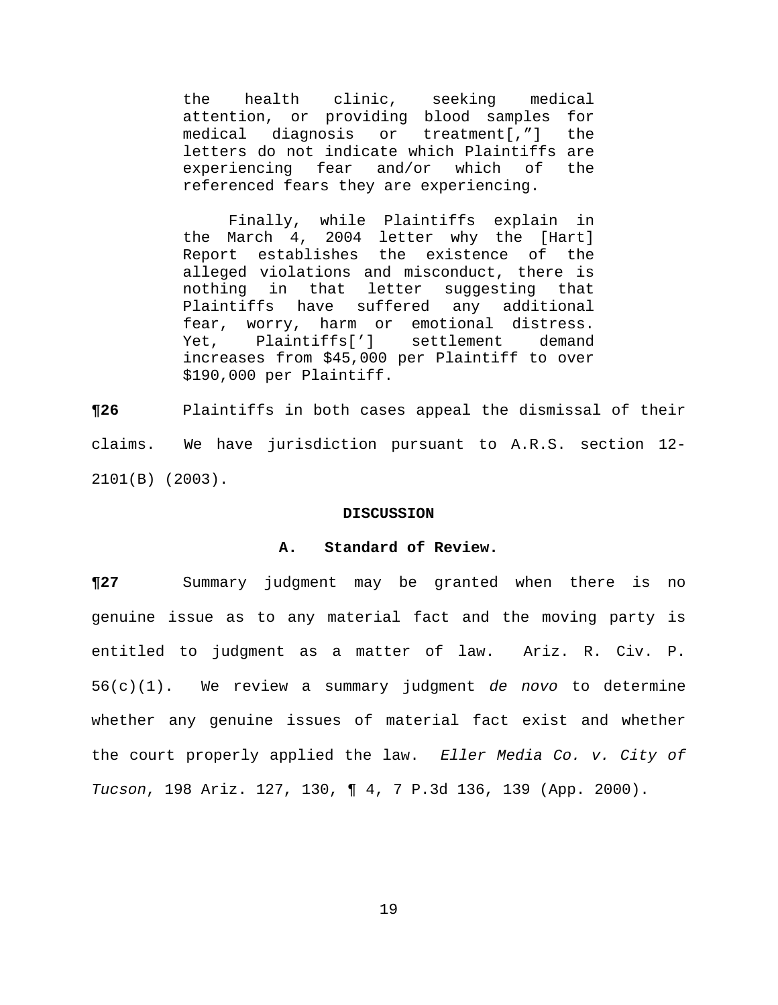the health clinic, seeking medical attention, or providing blood samples for medical diagnosis or treatment[,"] the letters do not indicate which Plaintiffs are experiencing fear and/or which of the referenced fears they are experiencing.

Finally, while Plaintiffs explain in the March 4, 2004 letter why the [Hart] Report establishes the existence of the alleged violations and misconduct, there is nothing in that letter suggesting that Plaintiffs have suffered any additional fear, worry, harm or emotional distress. Yet, Plaintiffs['] settlement demand increases from \$45,000 per Plaintiff to over \$190,000 per Plaintiff.

**¶26** Plaintiffs in both cases appeal the dismissal of their claims. We have jurisdiction pursuant to A.R.S. section 12- 2101(B) (2003).

#### **DISCUSSION**

### **A. Standard of Review.**

**¶27** Summary judgment may be granted when there is no genuine issue as to any material fact and the moving party is entitled to judgment as a matter of law. Ariz. R. Civ. P. 56(c)(1). We review a summary judgment *de novo* to determine whether any genuine issues of material fact exist and whether the court properly applied the law. *Eller Media Co. v. City of Tucson*, 198 Ariz. 127, 130, ¶ 4, 7 P.3d 136, 139 (App. 2000).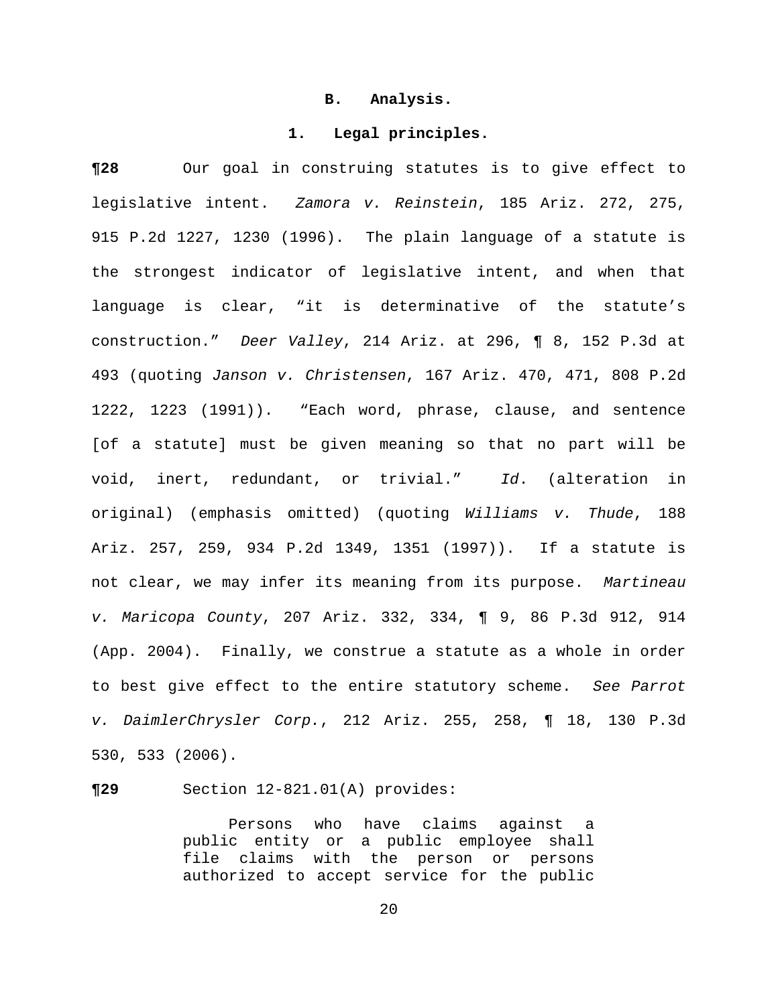### **B. Analysis.**

#### **1. Legal principles.**

**¶28** Our goal in construing statutes is to give effect to legislative intent. *Zamora v. Reinstein*, 185 Ariz. 272, 275, 915 P.2d 1227, 1230 (1996). The plain language of a statute is the strongest indicator of legislative intent, and when that language is clear, "it is determinative of the statute's construction." *Deer Valley*, 214 Ariz. at 296, ¶ 8, 152 P.3d at 493 (quoting *Janson v. Christensen*, 167 Ariz. 470, 471, 808 P.2d 1222, 1223 (1991)). "Each word, phrase, clause, and sentence [of a statute] must be given meaning so that no part will be void, inert, redundant, or trivial." *Id*. (alteration in original) (emphasis omitted) (quoting *Williams v. Thude*, 188 Ariz. 257, 259, 934 P.2d 1349, 1351 (1997)). If a statute is not clear, we may infer its meaning from its purpose. *Martineau v. Maricopa County*, 207 Ariz. 332, 334, ¶ 9, 86 P.3d 912, 914 (App. 2004). Finally, we construe a statute as a whole in order to best give effect to the entire statutory scheme. *See Parrot v. DaimlerChrysler Corp.*, 212 Ariz. 255, 258, ¶ 18, 130 P.3d 530, 533 (2006).

**¶29** Section 12-821.01(A) provides:

Persons who have claims against a public entity or a public employee shall file claims with the person or persons authorized to accept service for the public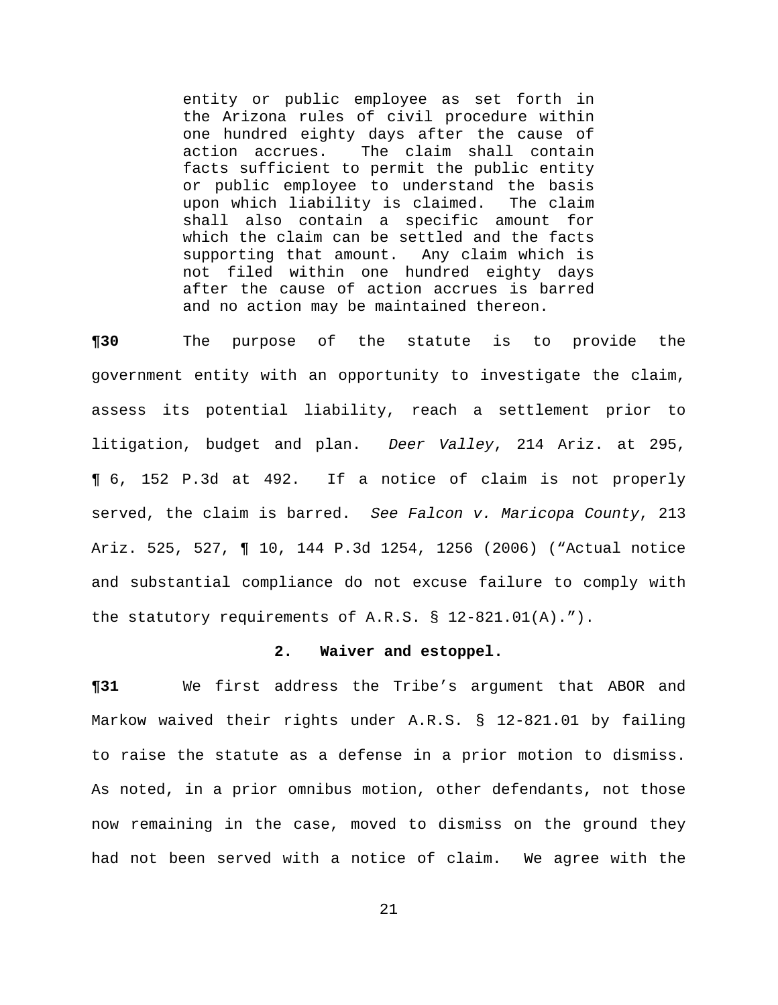entity or public employee as set forth in the Arizona rules of civil procedure within one hundred eighty days after the cause of action accrues. The claim shall contain facts sufficient to permit the public entity or public employee to understand the basis upon which liability is claimed. The claim shall also contain a specific amount for which the claim can be settled and the facts supporting that amount. Any claim which is not filed within one hundred eighty days after the cause of action accrues is barred and no action may be maintained thereon.

**¶30** The purpose of the statute is to provide the government entity with an opportunity to investigate the claim, assess its potential liability, reach a settlement prior to litigation, budget and plan. *Deer Valley*, 214 Ariz. at 295, ¶ 6, 152 P.3d at 492. If a notice of claim is not properly served, the claim is barred. *See Falcon v. Maricopa County*, 213 Ariz. 525, 527, ¶ 10, 144 P.3d 1254, 1256 (2006) ("Actual notice and substantial compliance do not excuse failure to comply with the statutory requirements of A.R.S.  $\S$  12-821.01(A).").

### **2. Waiver and estoppel.**

**¶31** We first address the Tribe's argument that ABOR and Markow waived their rights under A.R.S. § 12-821.01 by failing to raise the statute as a defense in a prior motion to dismiss. As noted, in a prior omnibus motion, other defendants, not those now remaining in the case, moved to dismiss on the ground they had not been served with a notice of claim. We agree with the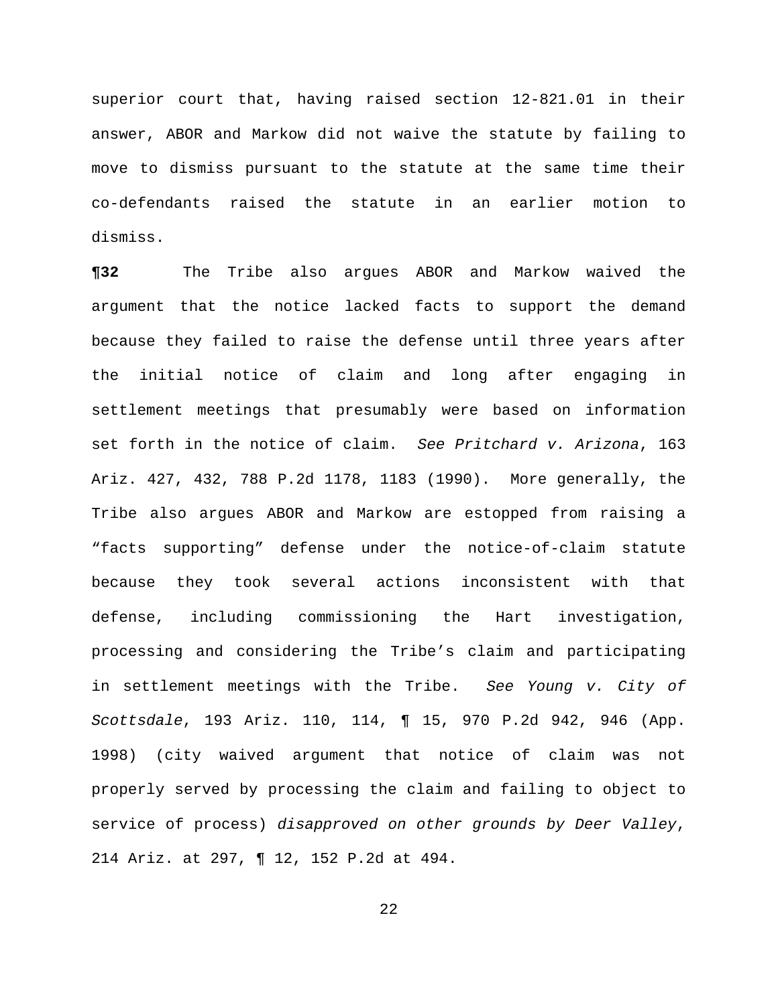superior court that, having raised section 12-821.01 in their answer, ABOR and Markow did not waive the statute by failing to move to dismiss pursuant to the statute at the same time their co-defendants raised the statute in an earlier motion to dismiss.

**¶32** The Tribe also argues ABOR and Markow waived the argument that the notice lacked facts to support the demand because they failed to raise the defense until three years after the initial notice of claim and long after engaging in settlement meetings that presumably were based on information set forth in the notice of claim. *See Pritchard v. Arizona*, 163 Ariz. 427, 432, 788 P.2d 1178, 1183 (1990). More generally, the Tribe also argues ABOR and Markow are estopped from raising a "facts supporting" defense under the notice-of-claim statute because they took several actions inconsistent with that defense, including commissioning the Hart investigation, processing and considering the Tribe's claim and participating in settlement meetings with the Tribe. *See Young v. City of Scottsdale*, 193 Ariz. 110, 114, ¶ 15, 970 P.2d 942, 946 (App. 1998) (city waived argument that notice of claim was not properly served by processing the claim and failing to object to service of process) *disapproved on other grounds by Deer Valley*, 214 Ariz. at 297, ¶ 12, 152 P.2d at 494.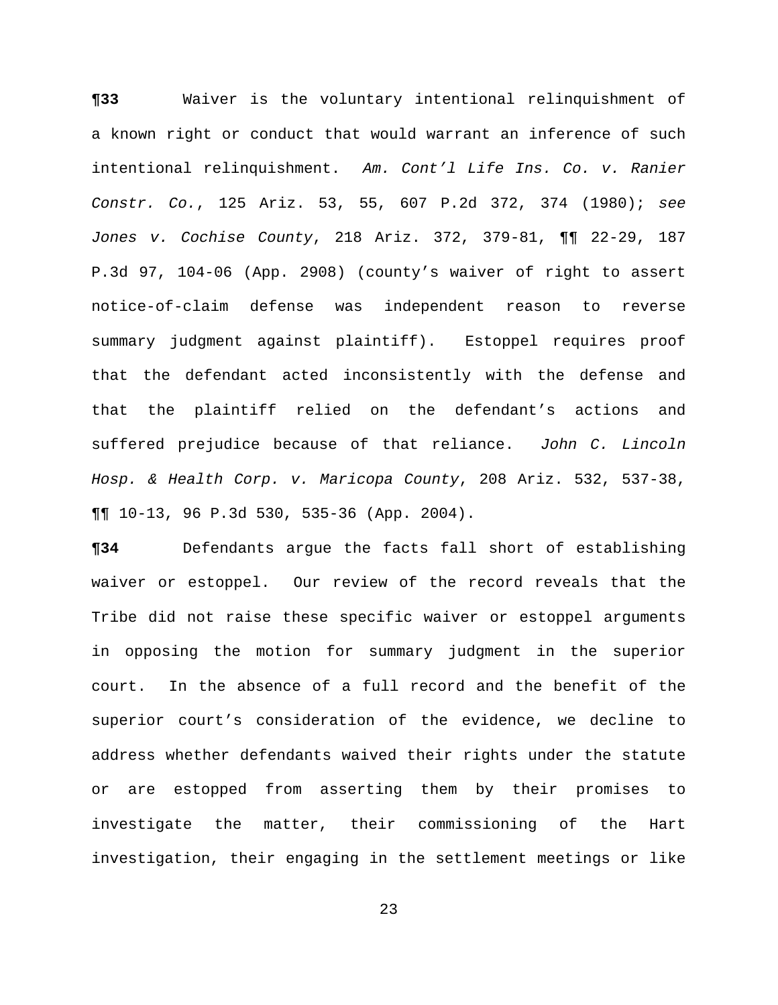**¶33** Waiver is the voluntary intentional relinquishment of a known right or conduct that would warrant an inference of such intentional relinquishment. *Am. Cont'l Life Ins. Co. v. Ranier Constr. Co.*, 125 Ariz. 53, 55, 607 P.2d 372, 374 (1980); *see Jones v. Cochise County*, 218 Ariz. 372, 379-81, ¶¶ 22-29, 187 P.3d 97, 104-06 (App. 2908) (county's waiver of right to assert notice-of-claim defense was independent reason to reverse summary judgment against plaintiff). Estoppel requires proof that the defendant acted inconsistently with the defense and that the plaintiff relied on the defendant's actions and suffered prejudice because of that reliance. *John C. Lincoln Hosp. & Health Corp. v. Maricopa County*, 208 Ariz. 532, 537-38, ¶¶ 10-13, 96 P.3d 530, 535-36 (App. 2004).

**¶34** Defendants argue the facts fall short of establishing waiver or estoppel. Our review of the record reveals that the Tribe did not raise these specific waiver or estoppel arguments in opposing the motion for summary judgment in the superior court. In the absence of a full record and the benefit of the superior court's consideration of the evidence, we decline to address whether defendants waived their rights under the statute or are estopped from asserting them by their promises to investigate the matter, their commissioning of the Hart investigation, their engaging in the settlement meetings or like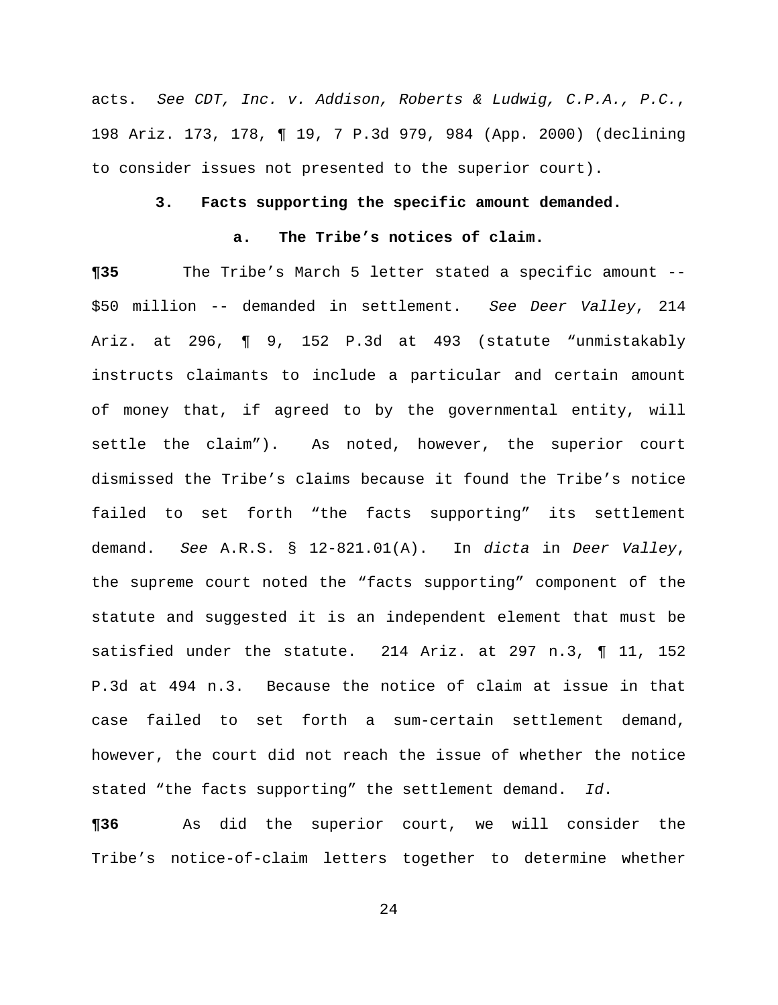acts. *See CDT, Inc. v. Addison, Roberts & Ludwig, C.P.A., P.C.*, 198 Ariz. 173, 178, ¶ 19, 7 P.3d 979, 984 (App. 2000) (declining to consider issues not presented to the superior court).

## **3. Facts supporting the specific amount demanded.**

## **a. The Tribe's notices of claim.**

**¶35** The Tribe's March 5 letter stated a specific amount -- \$50 million -- demanded in settlement. *See Deer Valley*, 214 Ariz. at 296, ¶ 9, 152 P.3d at 493 (statute "unmistakably instructs claimants to include a particular and certain amount of money that, if agreed to by the governmental entity, will settle the claim"). As noted, however, the superior court dismissed the Tribe's claims because it found the Tribe's notice failed to set forth "the facts supporting" its settlement demand. *See* A.R.S. § 12-821.01(A). In *dicta* in *Deer Valley*, the supreme court noted the "facts supporting" component of the statute and suggested it is an independent element that must be satisfied under the statute. 214 Ariz. at 297 n.3, ¶ 11, 152 P.3d at 494 n.3. Because the notice of claim at issue in that case failed to set forth a sum-certain settlement demand, however, the court did not reach the issue of whether the notice stated "the facts supporting" the settlement demand. *Id*.

**¶36** As did the superior court, we will consider the Tribe's notice-of-claim letters together to determine whether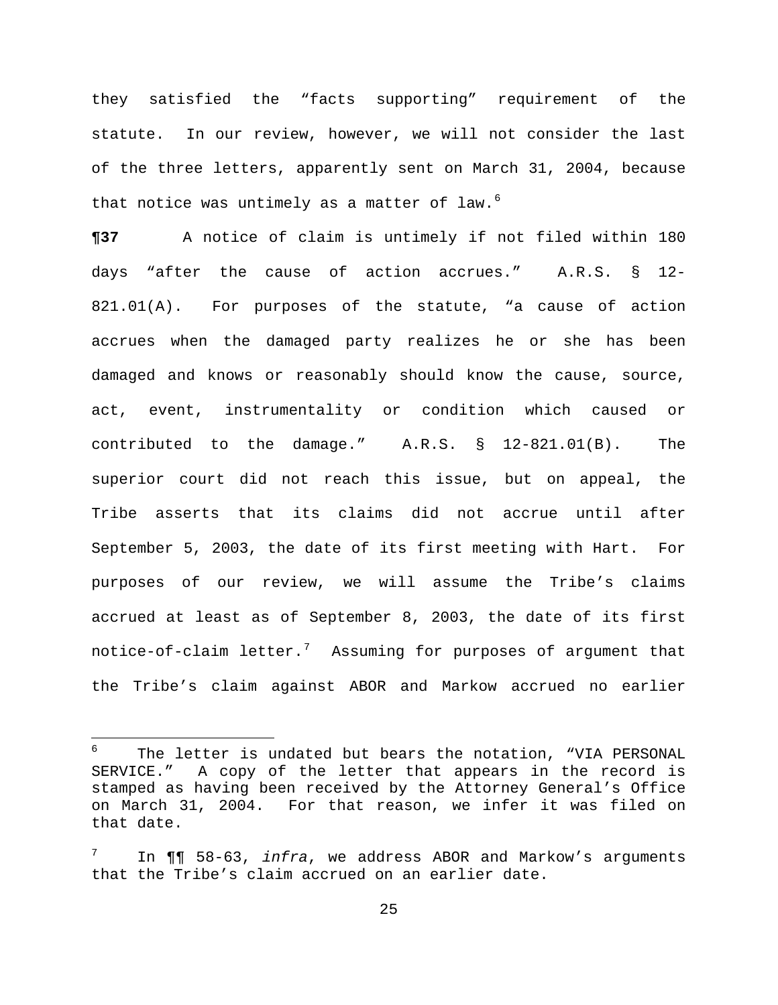they satisfied the "facts supporting" requirement of the statute. In our review, however, we will not consider the last of the three letters, apparently sent on March 31, 2004, because that notice was untimely as a matter of law. $6$ 

**¶37** A notice of claim is untimely if not filed within 180 days "after the cause of action accrues." A.R.S. § 12- 821.01(A). For purposes of the statute, "a cause of action accrues when the damaged party realizes he or she has been damaged and knows or reasonably should know the cause, source, act, event, instrumentality or condition which caused or contributed to the damage." A.R.S. § 12-821.01(B). The superior court did not reach this issue, but on appeal, the Tribe asserts that its claims did not accrue until after September 5, 2003, the date of its first meeting with Hart. For purposes of our review, we will assume the Tribe's claims accrued at least as of September 8, 2003, the date of its first notice-of-claim letter.<sup>[7](#page-24-0)</sup> Assuming for purposes of argument that the Tribe's claim against ABOR and Markow accrued no earlier

i

<sup>6</sup> The letter is undated but bears the notation, "VIA PERSONAL SERVICE." A copy of the letter that appears in the record is stamped as having been received by the Attorney General's Office on March 31, 2004. For that reason, we infer it was filed on that date.

<span id="page-24-0"></span><sup>7</sup> In ¶¶ 58-63, *infra*, we address ABOR and Markow's arguments that the Tribe's claim accrued on an earlier date.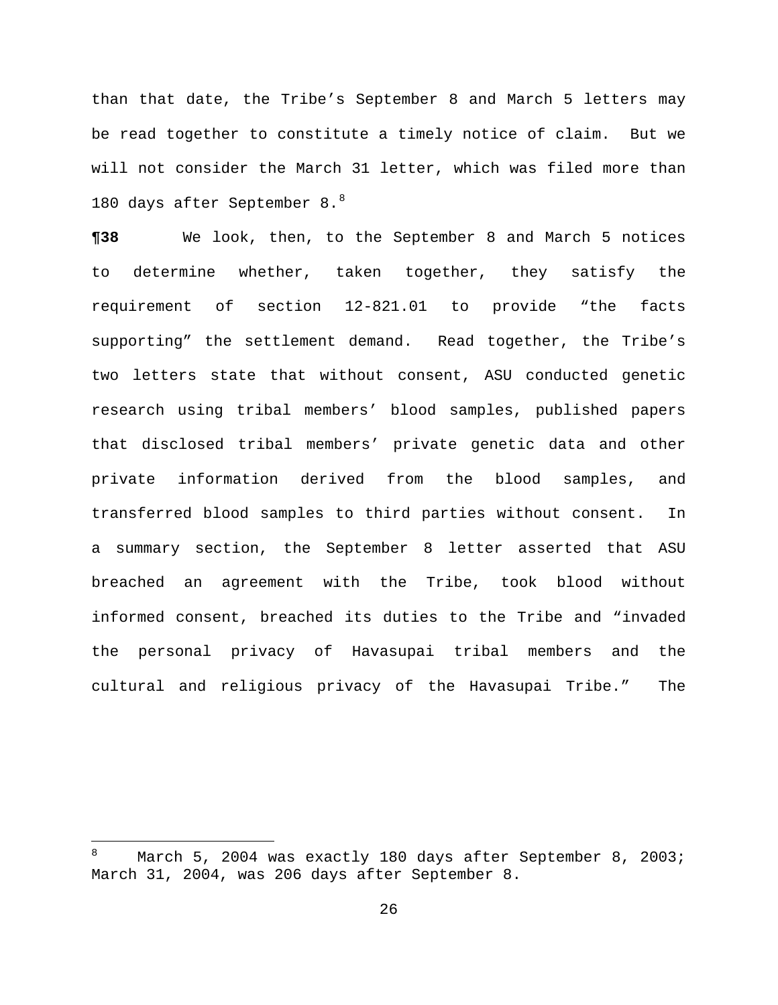than that date, the Tribe's September 8 and March 5 letters may be read together to constitute a timely notice of claim. But we will not consider the March 31 letter, which was filed more than 180 days after September 8.<sup>8</sup>

**¶38** We look, then, to the September 8 and March 5 notices to determine whether, taken together, they satisfy the requirement of section 12-821.01 to provide "the facts supporting" the settlement demand. Read together, the Tribe's two letters state that without consent, ASU conducted genetic research using tribal members' blood samples, published papers that disclosed tribal members' private genetic data and other private information derived from the blood samples, and transferred blood samples to third parties without consent. In a summary section, the September 8 letter asserted that ASU breached an agreement with the Tribe, took blood without informed consent, breached its duties to the Tribe and "invaded the personal privacy of Havasupai tribal members and the cultural and religious privacy of the Havasupai Tribe." The

 8 March 5, 2004 was exactly 180 days after September 8, 2003; March 31, 2004, was 206 days after September 8.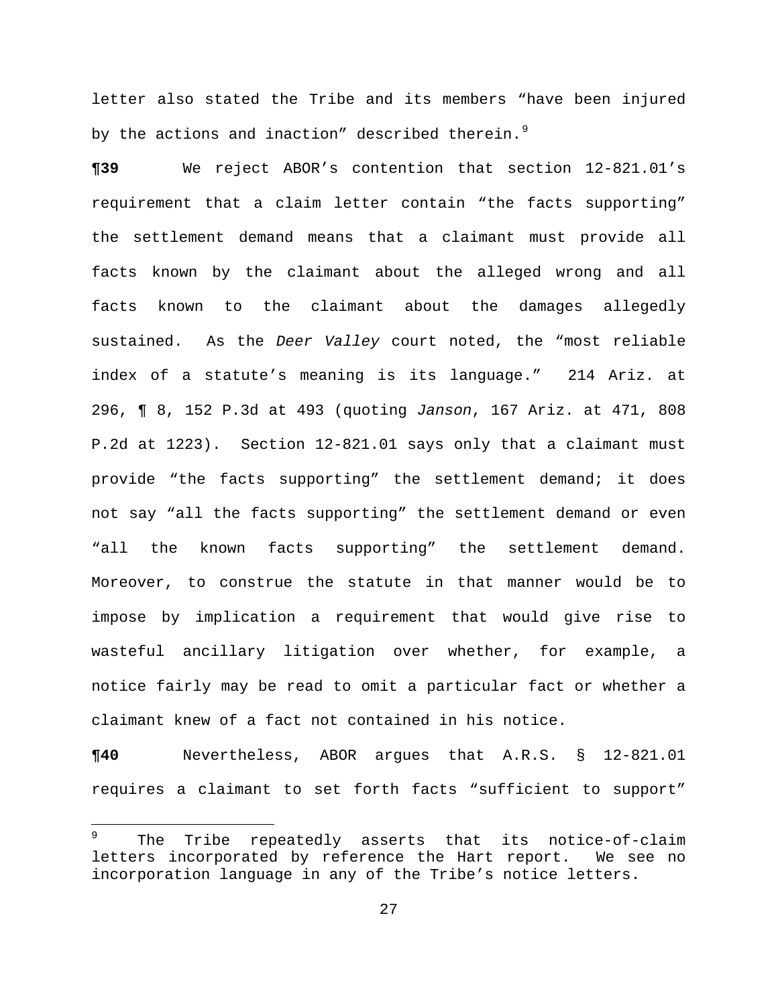letter also stated the Tribe and its members "have been injured by the actions and inaction" described therein. $9$ 

**¶39** We reject ABOR's contention that section 12-821.01's requirement that a claim letter contain "the facts supporting" the settlement demand means that a claimant must provide all facts known by the claimant about the alleged wrong and all facts known to the claimant about the damages allegedly sustained. As the *Deer Valley* court noted, the "most reliable index of a statute's meaning is its language." 214 Ariz. at 296, ¶ 8, 152 P.3d at 493 (quoting *Janson*, 167 Ariz. at 471, 808 P.2d at 1223). Section 12-821.01 says only that a claimant must provide "the facts supporting" the settlement demand; it does not say "all the facts supporting" the settlement demand or even "all the known facts supporting" the settlement demand. Moreover, to construe the statute in that manner would be to impose by implication a requirement that would give rise to wasteful ancillary litigation over whether, for example, a notice fairly may be read to omit a particular fact or whether a claimant knew of a fact not contained in his notice.

**¶40** Nevertheless, ABOR argues that A.R.S. § 12-821.01 requires a claimant to set forth facts "sufficient to support"

i<br>Li

<sup>9</sup> The Tribe repeatedly asserts that its notice-of-claim letters incorporated by reference the Hart report. We see no incorporation language in any of the Tribe's notice letters.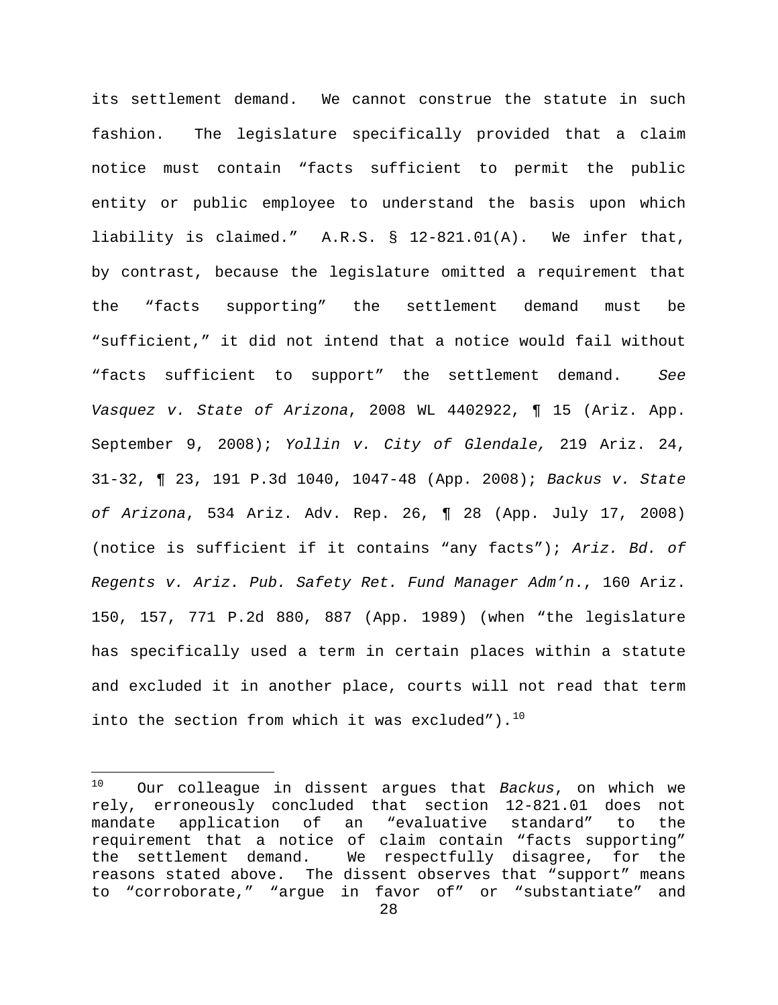its settlement demand. We cannot construe the statute in such fashion. The legislature specifically provided that a claim notice must contain "facts sufficient to permit the public entity or public employee to understand the basis upon which liability is claimed." A.R.S. § 12-821.01(A). We infer that, by contrast, because the legislature omitted a requirement that the "facts supporting" the settlement demand must be "sufficient," it did not intend that a notice would fail without "facts sufficient to support" the settlement demand. *See Vasquez v. State of Arizona*, 2008 WL 4402922, ¶ 15 (Ariz. App. September 9, 2008); *Yollin v. City of Glendale,* 219 Ariz. 24, 31-32, ¶ 23, 191 P.3d 1040, 1047-48 (App. 2008); *Backus v. State of Arizona*, 534 Ariz. Adv. Rep. 26, ¶ 28 (App. July 17, 2008) (notice is sufficient if it contains "any facts"); *Ariz. Bd. of Regents v. Ariz. Pub. Safety Ret. Fund Manager Adm'n*., 160 Ariz. 150, 157, 771 P.2d 880, 887 (App. 1989) (when "the legislature has specifically used a term in certain places within a statute and excluded it in another place, courts will not read that term into the section from which it was excluded").  $^{10}$ 

 $10$ 10 Our colleague in dissent argues that *Backus*, on which we rely, erroneously concluded that section 12-821.01 does not mandate application of an "evaluative standard" to the requirement that a notice of claim contain "facts supporting" the settlement demand. We respectfully disagree, for the reasons stated above. The dissent observes that "support" means to "corroborate," "argue in favor of" or "substantiate" and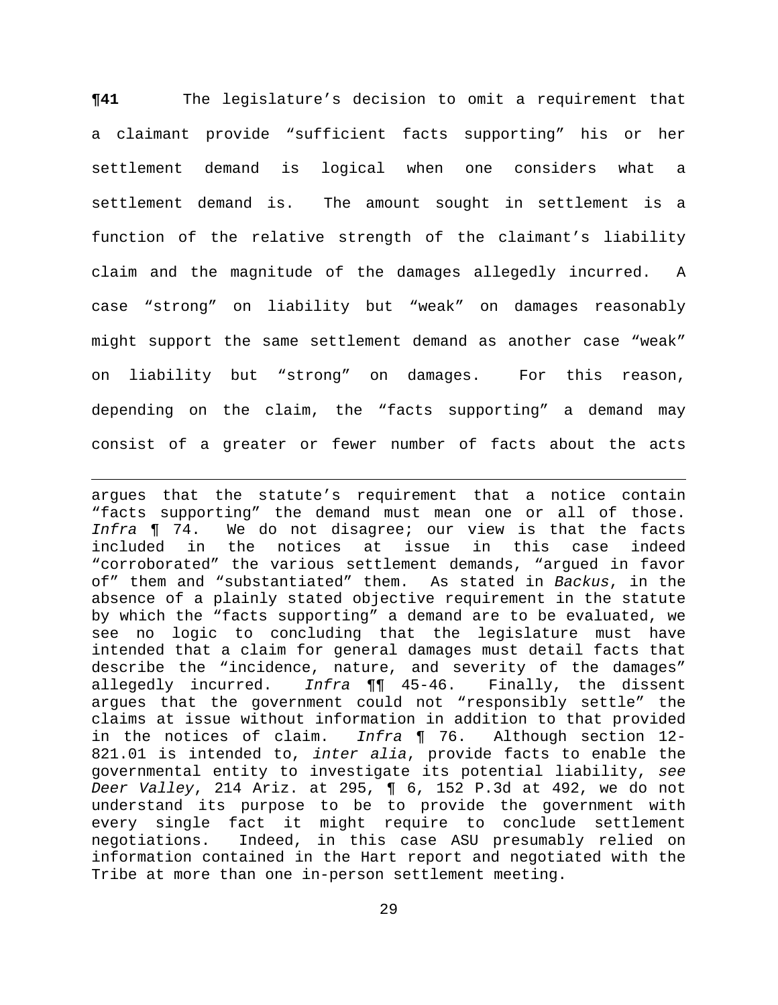**¶41** The legislature's decision to omit a requirement that a claimant provide "sufficient facts supporting" his or her settlement demand is logical when one considers what a settlement demand is. The amount sought in settlement is a function of the relative strength of the claimant's liability claim and the magnitude of the damages allegedly incurred. A case "strong" on liability but "weak" on damages reasonably might support the same settlement demand as another case "weak" on liability but "strong" on damages. For this reason, depending on the claim, the "facts supporting" a demand may consist of a greater or fewer number of facts about the acts

i argues that the statute's requirement that a notice contain "facts supporting" the demand must mean one or all of those. *Infra* ¶ 74. We do not disagree; our view is that the facts included in the notices at issue in this case indeed "corroborated" the various settlement demands, "argued in favor of" them and "substantiated" them. As stated in *Backus*, in the absence of a plainly stated objective requirement in the statute by which the "facts supporting" a demand are to be evaluated, we see no logic to concluding that the legislature must have intended that a claim for general damages must detail facts that describe the "incidence, nature, and severity of the damages" allegedly incurred. *Infra* ¶¶ 45-46. Finally, the dissent argues that the government could not "responsibly settle" the claims at issue without information in addition to that provided in the notices of claim. *Infra* ¶ 76. Although section 12- 821.01 is intended to, *inter alia*, provide facts to enable the governmental entity to investigate its potential liability, *see Deer Valley*, 214 Ariz. at 295, ¶ 6, 152 P.3d at 492, we do not understand its purpose to be to provide the government with every single fact it might require to conclude settlement negotiations. Indeed, in this case ASU presumably relied on information contained in the Hart report and negotiated with the Tribe at more than one in-person settlement meeting.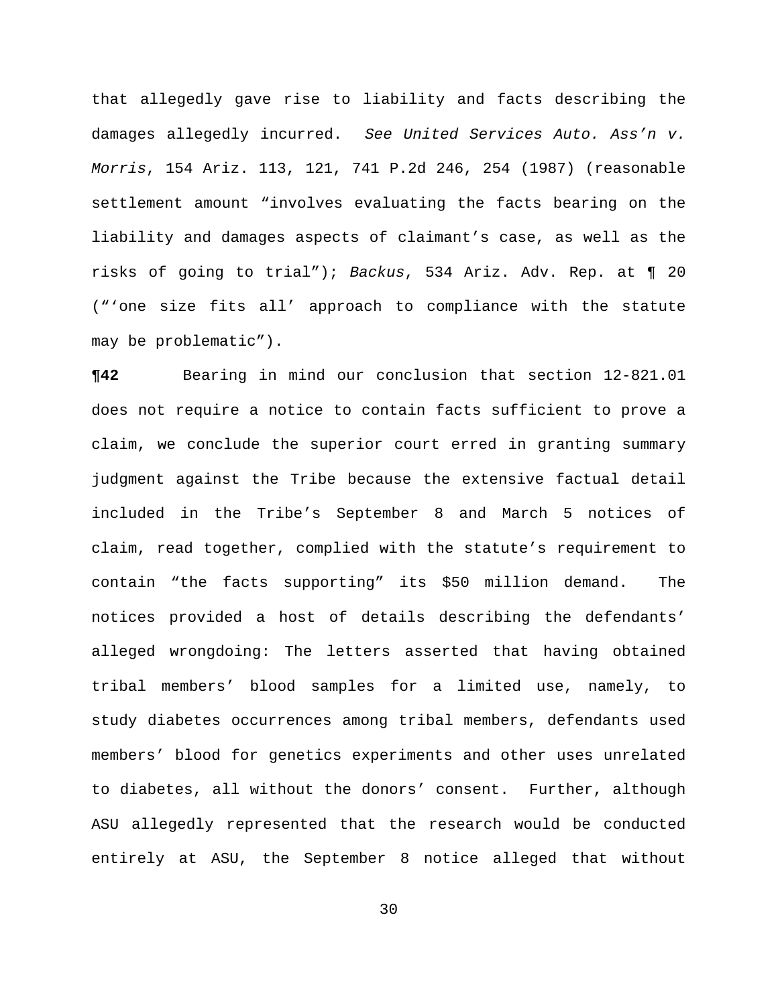that allegedly gave rise to liability and facts describing the damages allegedly incurred. *See United Services Auto. Ass'n v. Morris*, 154 Ariz. 113, 121, 741 P.2d 246, 254 (1987) (reasonable settlement amount "involves evaluating the facts bearing on the liability and damages aspects of claimant's case, as well as the risks of going to trial"); *Backus*, 534 Ariz. Adv. Rep. at ¶ 20 ("'one size fits all' approach to compliance with the statute may be problematic").

**¶42** Bearing in mind our conclusion that section 12-821.01 does not require a notice to contain facts sufficient to prove a claim, we conclude the superior court erred in granting summary judgment against the Tribe because the extensive factual detail included in the Tribe's September 8 and March 5 notices of claim, read together, complied with the statute's requirement to contain "the facts supporting" its \$50 million demand. The notices provided a host of details describing the defendants' alleged wrongdoing: The letters asserted that having obtained tribal members' blood samples for a limited use, namely, to study diabetes occurrences among tribal members, defendants used members' blood for genetics experiments and other uses unrelated to diabetes, all without the donors' consent. Further, although ASU allegedly represented that the research would be conducted entirely at ASU, the September 8 notice alleged that without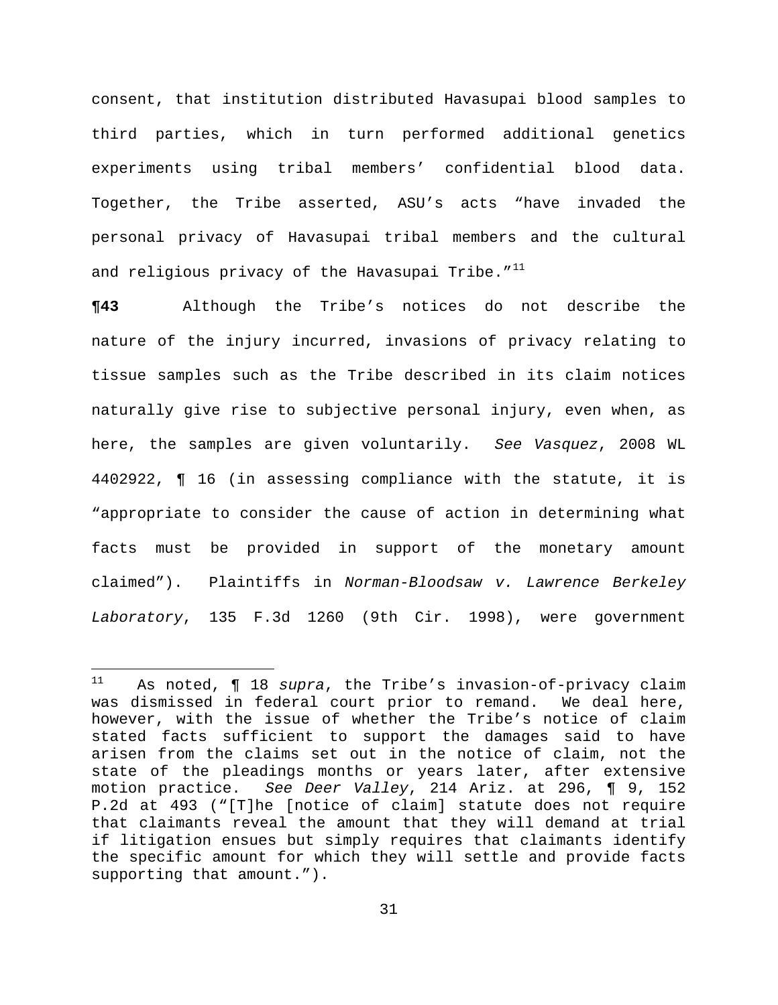consent, that institution distributed Havasupai blood samples to third parties, which in turn performed additional genetics experiments using tribal members' confidential blood data. Together, the Tribe asserted, ASU's acts "have invaded the personal privacy of Havasupai tribal members and the cultural and religious privacy of the Havasupai Tribe. $''^{11}$ 

**¶43** Although the Tribe's notices do not describe the nature of the injury incurred, invasions of privacy relating to tissue samples such as the Tribe described in its claim notices naturally give rise to subjective personal injury, even when, as here, the samples are given voluntarily. *See Vasquez*, 2008 WL 4402922, ¶ 16 (in assessing compliance with the statute, it is "appropriate to consider the cause of action in determining what facts must be provided in support of the monetary amount claimed"). Plaintiffs in *Norman-Bloodsaw v. Lawrence Berkeley Laboratory*, 135 F.3d 1260 (9th Cir. 1998), were government

 $11$ 11 As noted, ¶ 18 *supra*, the Tribe's invasion-of-privacy claim was dismissed in federal court prior to remand. We deal here, however, with the issue of whether the Tribe's notice of claim stated facts sufficient to support the damages said to have arisen from the claims set out in the notice of claim, not the state of the pleadings months or years later, after extensive motion practice. *See Deer Valley*, 214 Ariz. at 296, ¶ 9, 152 P.2d at 493 ("[T]he [notice of claim] statute does not require that claimants reveal the amount that they will demand at trial if litigation ensues but simply requires that claimants identify the specific amount for which they will settle and provide facts supporting that amount.").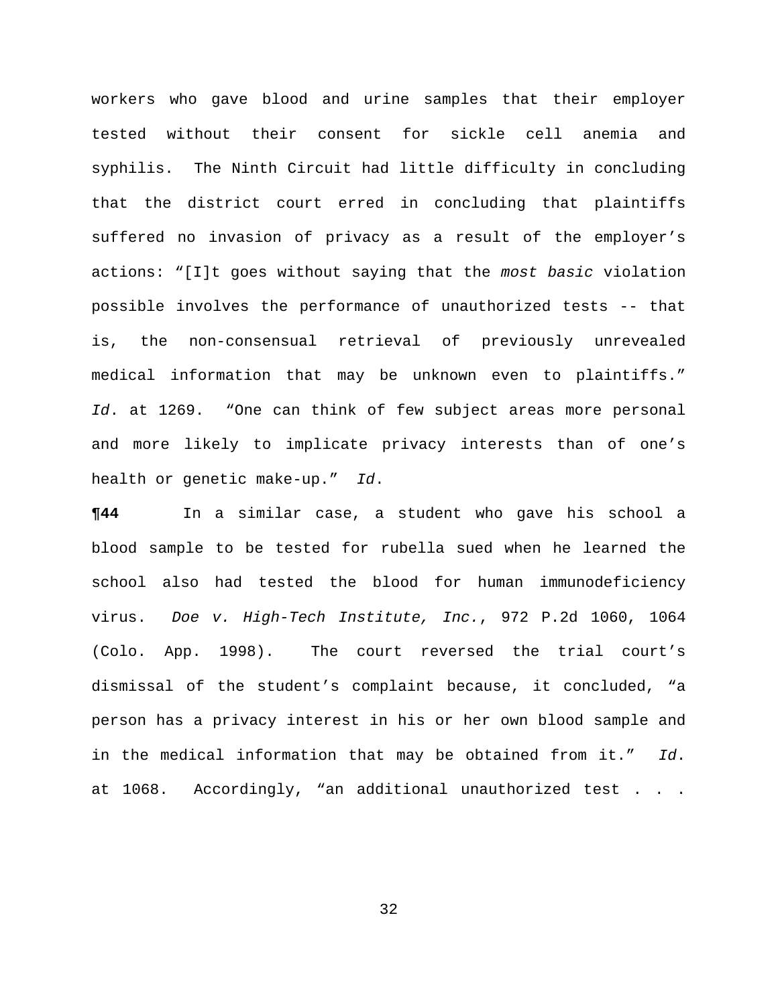workers who gave blood and urine samples that their employer tested without their consent for sickle cell anemia and syphilis. The Ninth Circuit had little difficulty in concluding that the district court erred in concluding that plaintiffs suffered no invasion of privacy as a result of the employer's actions: "[I]t goes without saying that the *most basic* violation possible involves the performance of unauthorized tests -- that is, the non-consensual retrieval of previously unrevealed medical information that may be unknown even to plaintiffs." *Id*. at 1269. "One can think of few subject areas more personal and more likely to implicate privacy interests than of one's health or genetic make-up." *Id*.

**¶44** In a similar case, a student who gave his school a blood sample to be tested for rubella sued when he learned the school also had tested the blood for human immunodeficiency virus. *Doe v. High-Tech Institute, Inc.*, 972 P.2d 1060, 1064 (Colo. App. 1998). The court reversed the trial court's dismissal of the student's complaint because, it concluded, "a person has a privacy interest in his or her own blood sample and in the medical information that may be obtained from it." *Id*. at 1068. Accordingly, "an additional unauthorized test . . .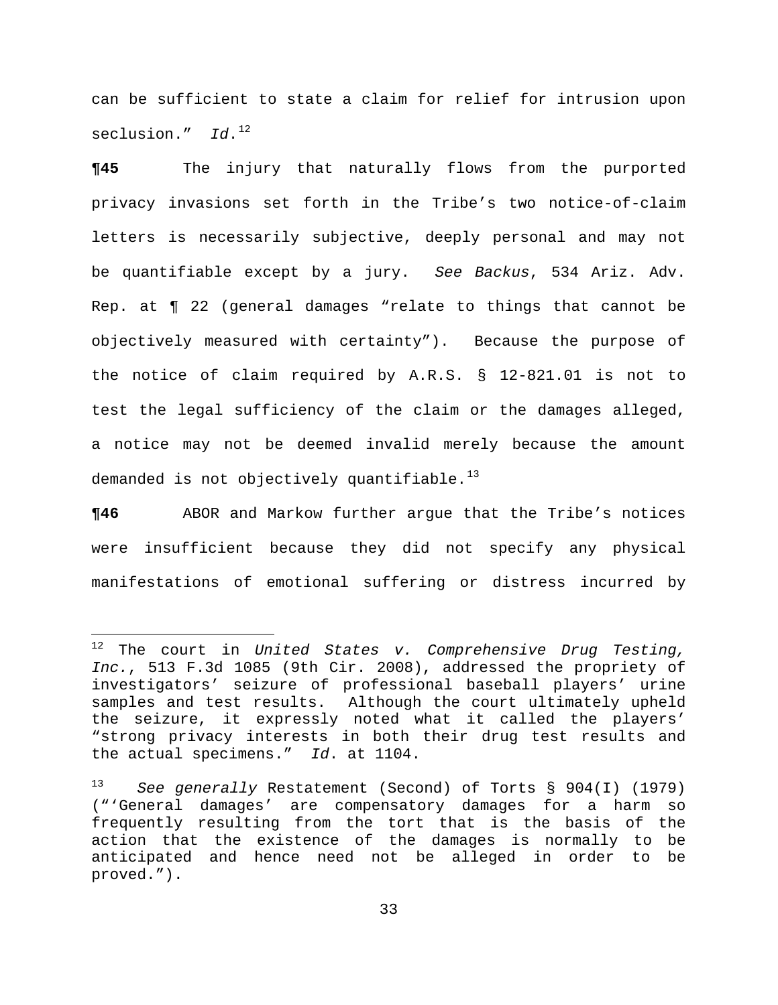can be sufficient to state a claim for relief for intrusion upon seclusion." Id.<sup>12</sup>

**¶45** The injury that naturally flows from the purported privacy invasions set forth in the Tribe's two notice-of-claim letters is necessarily subjective, deeply personal and may not be quantifiable except by a jury. *See Backus*, 534 Ariz. Adv. Rep. at ¶ 22 (general damages "relate to things that cannot be objectively measured with certainty"). Because the purpose of the notice of claim required by A.R.S. § 12-821.01 is not to test the legal sufficiency of the claim or the damages alleged, a notice may not be deemed invalid merely because the amount demanded is not objectively quantifiable. $^{13}$  $^{13}$  $^{13}$ 

**¶46** ABOR and Markow further argue that the Tribe's notices were insufficient because they did not specify any physical manifestations of emotional suffering or distress incurred by

i<br>Li

<sup>12</sup> The court in *United States v. Comprehensive Drug Testing, Inc.*, 513 F.3d 1085 (9th Cir. 2008), addressed the propriety of investigators' seizure of professional baseball players' urine samples and test results. Although the court ultimately upheld the seizure, it expressly noted what it called the players' "strong privacy interests in both their drug test results and the actual specimens." *Id*. at 1104.

<span id="page-32-0"></span><sup>13</sup> *See generally* Restatement (Second) of Torts § 904(I) (1979) ("'General damages' are compensatory damages for a harm so frequently resulting from the tort that is the basis of the action that the existence of the damages is normally to be anticipated and hence need not be alleged in order to be proved.").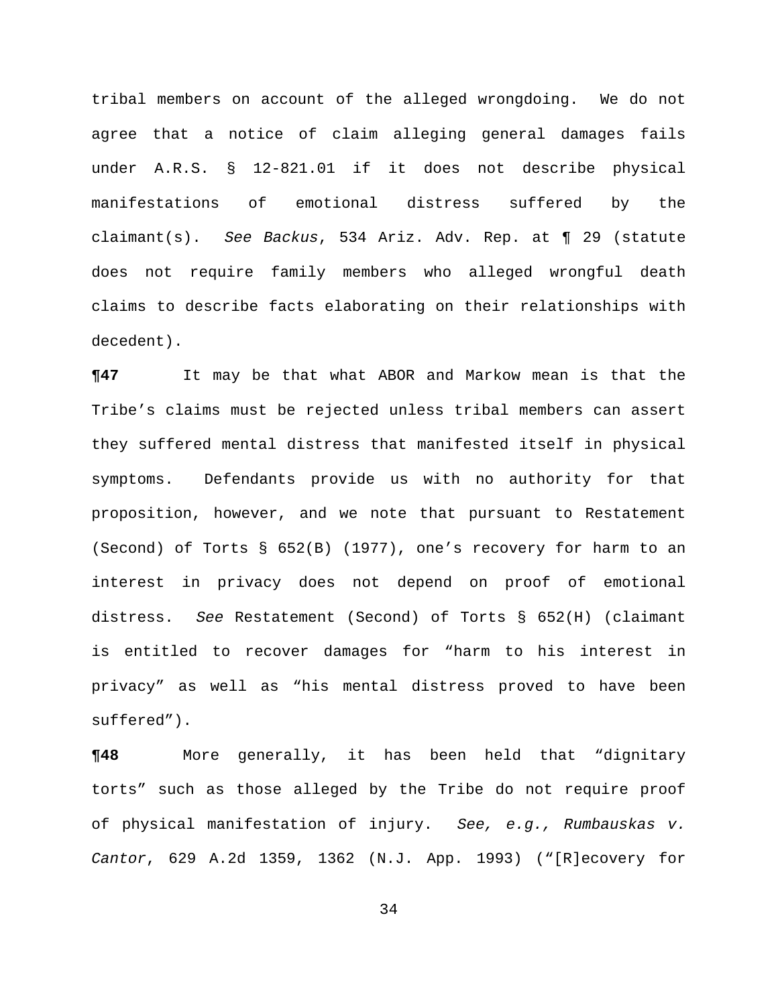tribal members on account of the alleged wrongdoing. We do not agree that a notice of claim alleging general damages fails under A.R.S. § 12-821.01 if it does not describe physical manifestations of emotional distress suffered by the claimant(s). *See Backus*, 534 Ariz. Adv. Rep. at ¶ 29 (statute does not require family members who alleged wrongful death claims to describe facts elaborating on their relationships with decedent).

**¶47** It may be that what ABOR and Markow mean is that the Tribe's claims must be rejected unless tribal members can assert they suffered mental distress that manifested itself in physical symptoms. Defendants provide us with no authority for that proposition, however, and we note that pursuant to Restatement (Second) of Torts § 652(B) (1977), one's recovery for harm to an interest in privacy does not depend on proof of emotional distress. *See* Restatement (Second) of Torts § 652(H) (claimant is entitled to recover damages for "harm to his interest in privacy" as well as "his mental distress proved to have been suffered").

**¶48** More generally, it has been held that "dignitary torts" such as those alleged by the Tribe do not require proof of physical manifestation of injury. *See, e.g., Rumbauskas v. Cantor*, 629 A.2d 1359, 1362 (N.J. App. 1993) ("[R]ecovery for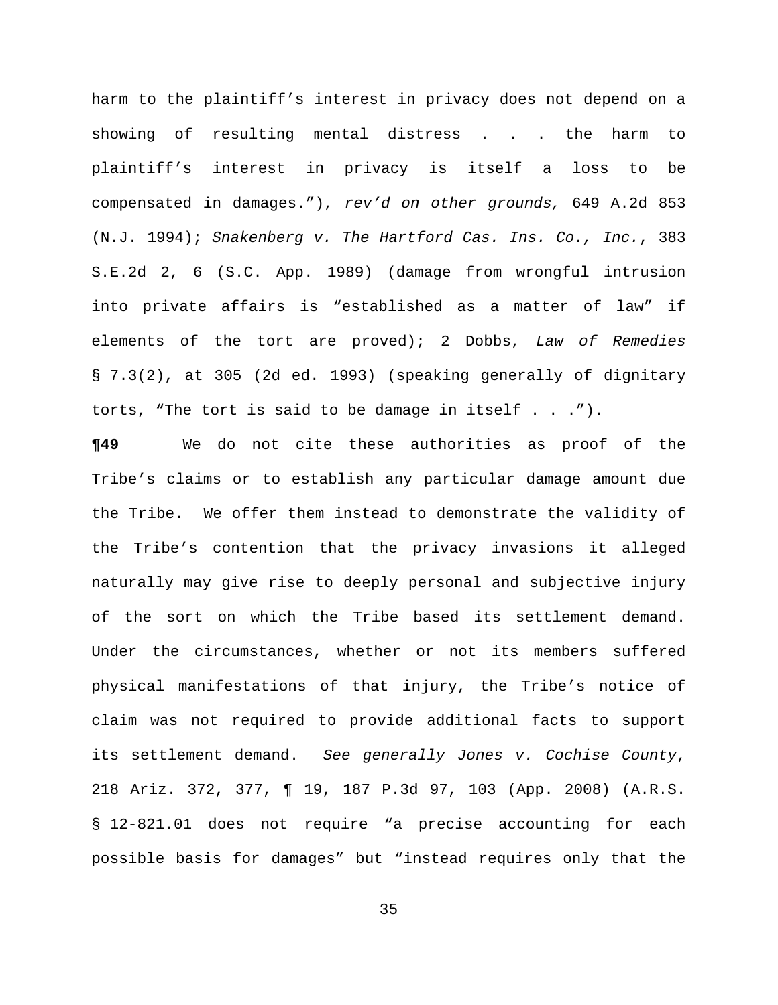harm to the plaintiff's interest in privacy does not depend on a showing of resulting mental distress . . . the harm to plaintiff's interest in privacy is itself a loss to be compensated in damages."), *rev'd on other grounds,* 649 A.2d 853 (N.J. 1994); *Snakenberg v. The Hartford Cas. Ins. Co., Inc.*, 383 S.E.2d 2, 6 (S.C. App. 1989) (damage from wrongful intrusion into private affairs is "established as a matter of law" if elements of the tort are proved); 2 Dobbs, *Law of Remedies* § 7.3(2), at 305 (2d ed. 1993) (speaking generally of dignitary torts, "The tort is said to be damage in itself . . .").

**¶49** We do not cite these authorities as proof of the Tribe's claims or to establish any particular damage amount due the Tribe. We offer them instead to demonstrate the validity of the Tribe's contention that the privacy invasions it alleged naturally may give rise to deeply personal and subjective injury of the sort on which the Tribe based its settlement demand. Under the circumstances, whether or not its members suffered physical manifestations of that injury, the Tribe's notice of claim was not required to provide additional facts to support its settlement demand. *See generally Jones v. Cochise County*, 218 Ariz. 372, 377, ¶ 19, 187 P.3d 97, 103 (App. 2008) (A.R.S. § 12-821.01 does not require "a precise accounting for each possible basis for damages" but "instead requires only that the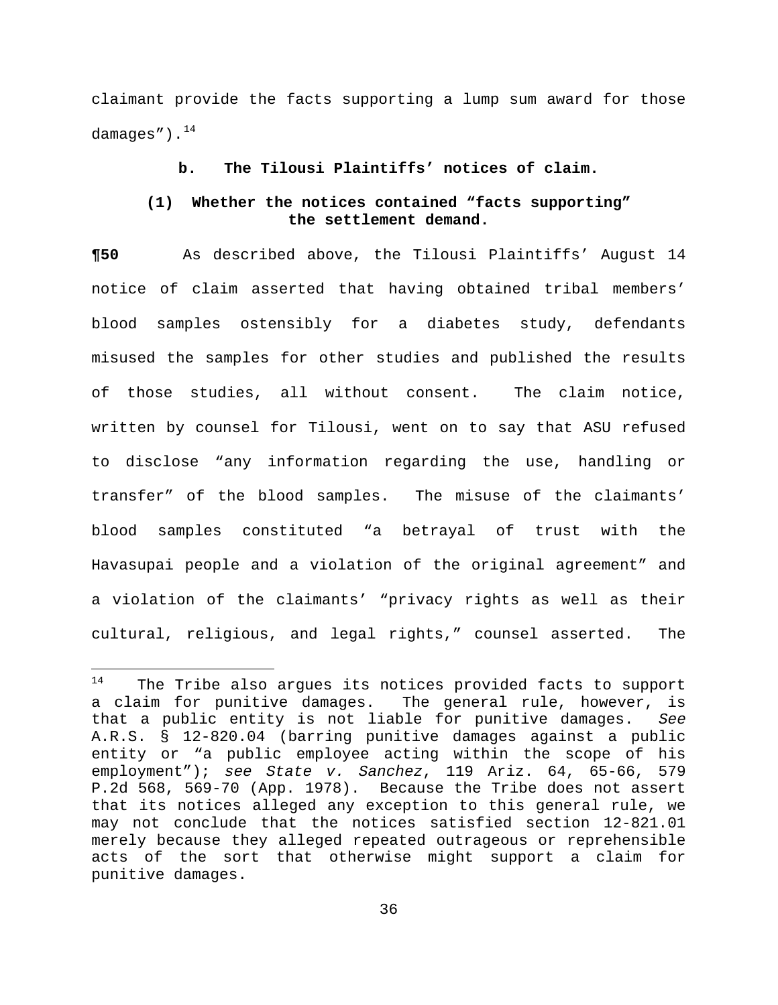claimant provide the facts supporting a lump sum award for those damages").<sup>14</sup>

### **b. The Tilousi Plaintiffs' notices of claim.**

## **(1) Whether the notices contained "facts supporting" the settlement demand.**

**¶50** As described above, the Tilousi Plaintiffs' August 14 notice of claim asserted that having obtained tribal members' blood samples ostensibly for a diabetes study, defendants misused the samples for other studies and published the results of those studies, all without consent. The claim notice, written by counsel for Tilousi, went on to say that ASU refused to disclose "any information regarding the use, handling or transfer" of the blood samples. The misuse of the claimants' blood samples constituted "a betrayal of trust with the Havasupai people and a violation of the original agreement" and a violation of the claimants' "privacy rights as well as their cultural, religious, and legal rights," counsel asserted. The

<sup>14</sup> The Tribe also argues its notices provided facts to support a claim for punitive damages. The general rule, however, is that a public entity is not liable for punitive damages. *See*  A.R.S. § 12-820.04 (barring punitive damages against a public entity or "a public employee acting within the scope of his employment"); *see State v. Sanchez*, 119 Ariz. 64, 65-66, 579 P.2d 568, 569-70 (App. 1978). Because the Tribe does not assert that its notices alleged any exception to this general rule, we may not conclude that the notices satisfied section 12-821.01 merely because they alleged repeated outrageous or reprehensible acts of the sort that otherwise might support a claim for punitive damages.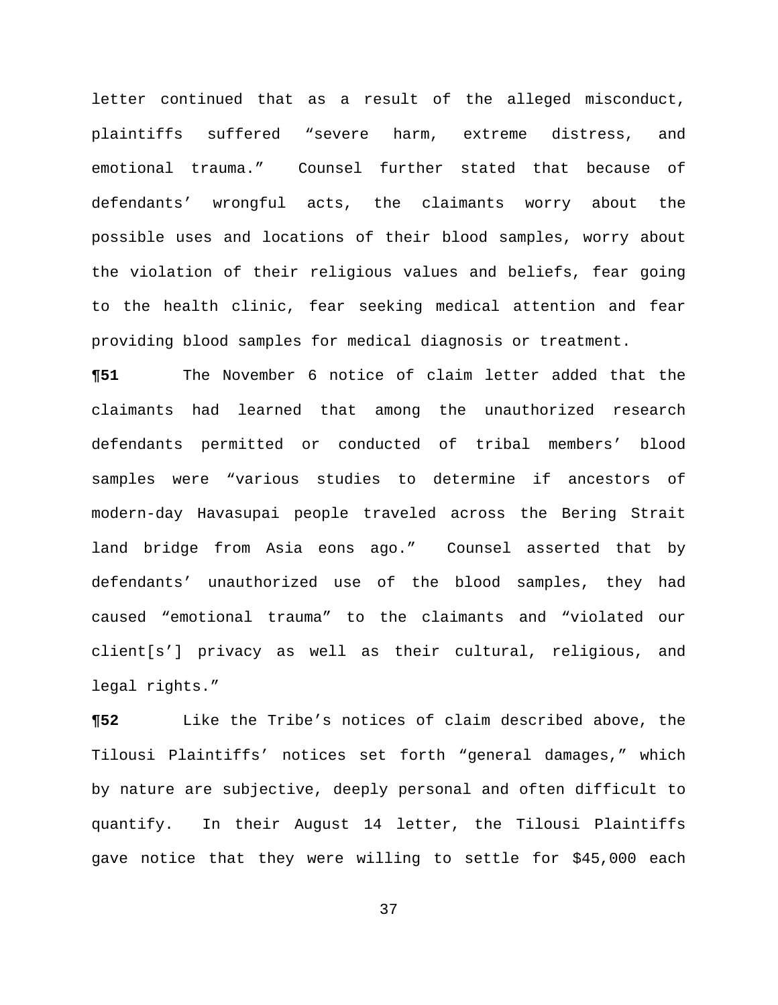letter continued that as a result of the alleged misconduct, plaintiffs suffered "severe harm, extreme distress, and emotional trauma." Counsel further stated that because of defendants' wrongful acts, the claimants worry about the possible uses and locations of their blood samples, worry about the violation of their religious values and beliefs, fear going to the health clinic, fear seeking medical attention and fear providing blood samples for medical diagnosis or treatment.

**¶51** The November 6 notice of claim letter added that the claimants had learned that among the unauthorized research defendants permitted or conducted of tribal members' blood samples were "various studies to determine if ancestors of modern-day Havasupai people traveled across the Bering Strait land bridge from Asia eons ago." Counsel asserted that by defendants' unauthorized use of the blood samples, they had caused "emotional trauma" to the claimants and "violated our client[s'] privacy as well as their cultural, religious, and legal rights."

**¶52** Like the Tribe's notices of claim described above, the Tilousi Plaintiffs' notices set forth "general damages," which by nature are subjective, deeply personal and often difficult to quantify. In their August 14 letter, the Tilousi Plaintiffs gave notice that they were willing to settle for \$45,000 each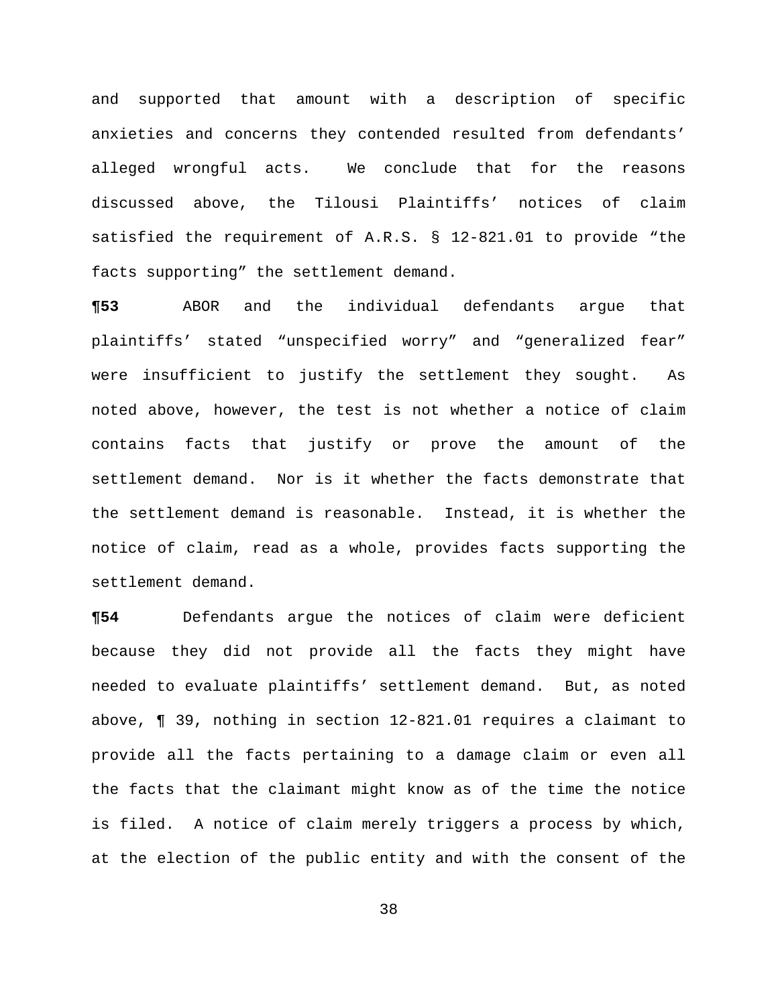and supported that amount with a description of specific anxieties and concerns they contended resulted from defendants' alleged wrongful acts. We conclude that for the reasons discussed above, the Tilousi Plaintiffs' notices of claim satisfied the requirement of A.R.S. § 12-821.01 to provide "the facts supporting" the settlement demand.

**¶53** ABOR and the individual defendants argue that plaintiffs' stated "unspecified worry" and "generalized fear" were insufficient to justify the settlement they sought. As noted above, however, the test is not whether a notice of claim contains facts that justify or prove the amount of the settlement demand. Nor is it whether the facts demonstrate that the settlement demand is reasonable. Instead, it is whether the notice of claim, read as a whole, provides facts supporting the settlement demand.

**¶54** Defendants argue the notices of claim were deficient because they did not provide all the facts they might have needed to evaluate plaintiffs' settlement demand. But, as noted above, ¶ 39, nothing in section 12-821.01 requires a claimant to provide all the facts pertaining to a damage claim or even all the facts that the claimant might know as of the time the notice is filed. A notice of claim merely triggers a process by which, at the election of the public entity and with the consent of the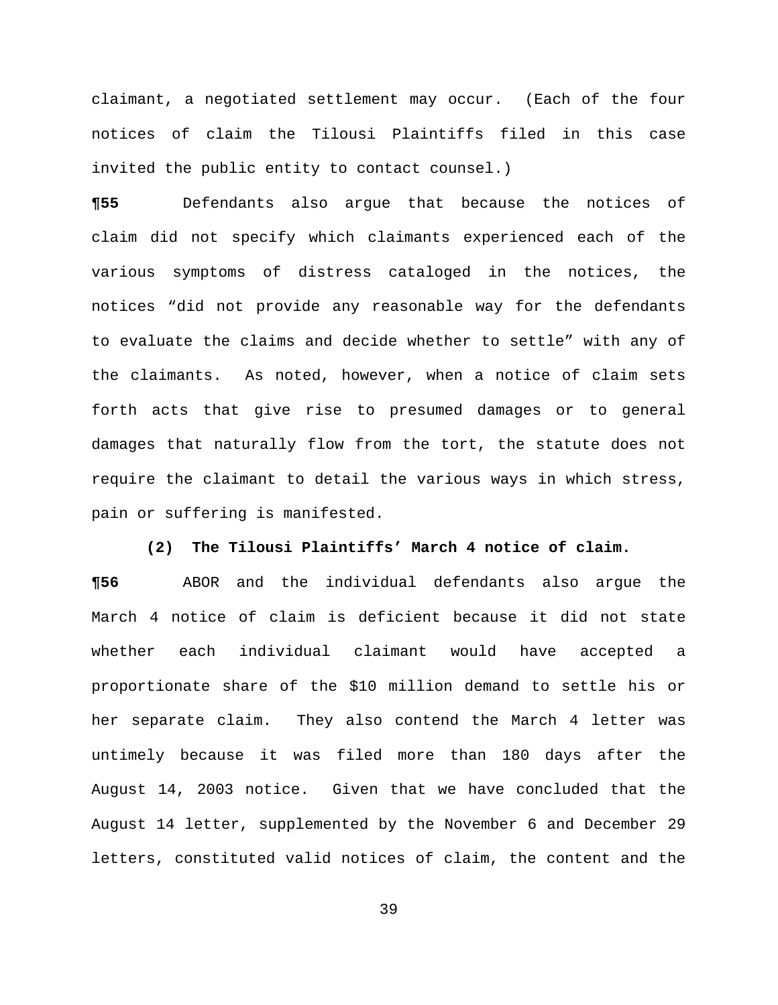claimant, a negotiated settlement may occur. (Each of the four notices of claim the Tilousi Plaintiffs filed in this case invited the public entity to contact counsel.)

**¶55** Defendants also argue that because the notices of claim did not specify which claimants experienced each of the various symptoms of distress cataloged in the notices, the notices "did not provide any reasonable way for the defendants to evaluate the claims and decide whether to settle" with any of the claimants. As noted, however, when a notice of claim sets forth acts that give rise to presumed damages or to general damages that naturally flow from the tort, the statute does not require the claimant to detail the various ways in which stress, pain or suffering is manifested.

### **(2) The Tilousi Plaintiffs' March 4 notice of claim.**

**¶56** ABOR and the individual defendants also argue the March 4 notice of claim is deficient because it did not state whether each individual claimant would have accepted a proportionate share of the \$10 million demand to settle his or her separate claim. They also contend the March 4 letter was untimely because it was filed more than 180 days after the August 14, 2003 notice. Given that we have concluded that the August 14 letter, supplemented by the November 6 and December 29 letters, constituted valid notices of claim, the content and the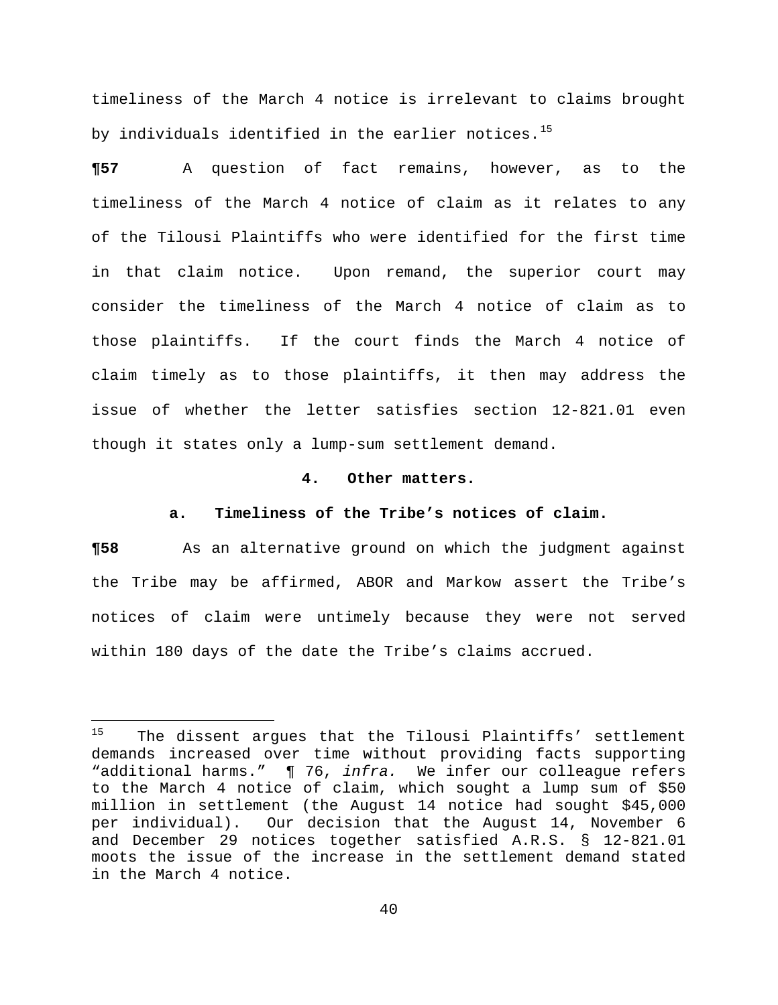timeliness of the March 4 notice is irrelevant to claims brought by individuals identified in the earlier notices.<sup>15</sup>

**¶57** A question of fact remains, however, as to the timeliness of the March 4 notice of claim as it relates to any of the Tilousi Plaintiffs who were identified for the first time in that claim notice. Upon remand, the superior court may consider the timeliness of the March 4 notice of claim as to those plaintiffs. If the court finds the March 4 notice of claim timely as to those plaintiffs, it then may address the issue of whether the letter satisfies section 12-821.01 even though it states only a lump-sum settlement demand.

#### **4. Other matters.**

#### **a. Timeliness of the Tribe's notices of claim.**

**¶58** As an alternative ground on which the judgment against the Tribe may be affirmed, ABOR and Markow assert the Tribe's notices of claim were untimely because they were not served within 180 days of the date the Tribe's claims accrued.

 $15$ The dissent argues that the Tilousi Plaintiffs' settlement demands increased over time without providing facts supporting "additional harms." ¶ 76, *infra.* We infer our colleague refers to the March 4 notice of claim, which sought a lump sum of \$50 million in settlement (the August 14 notice had sought \$45,000 per individual). Our decision that the August 14, November 6 and December 29 notices together satisfied A.R.S. § 12-821.01 moots the issue of the increase in the settlement demand stated in the March 4 notice.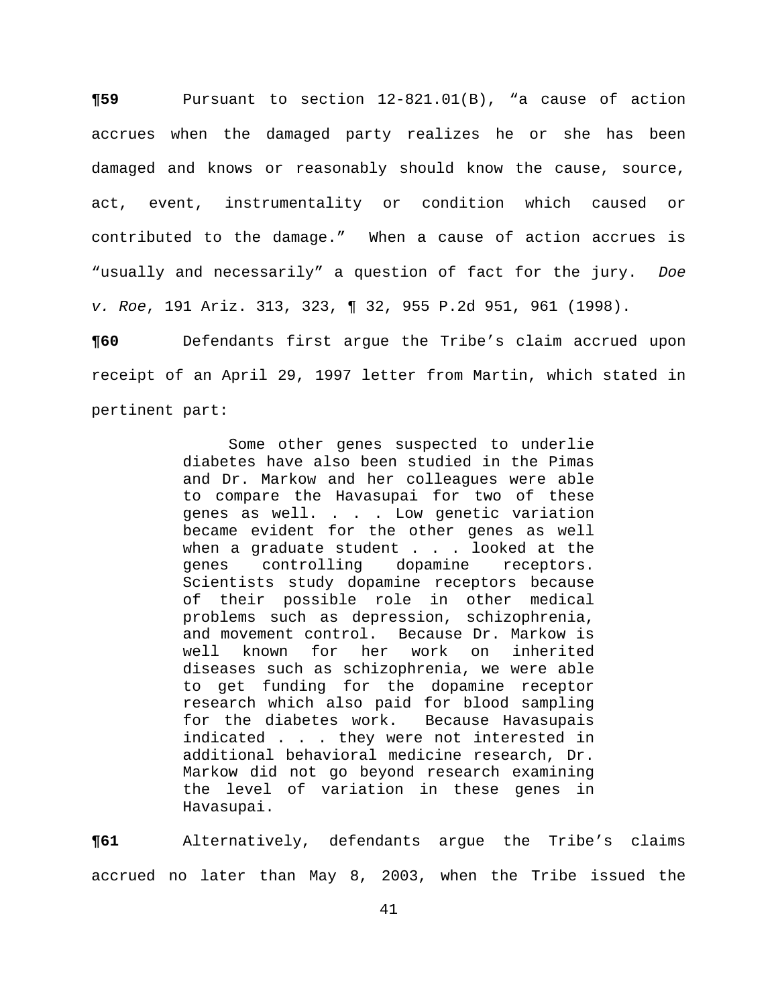**¶59** Pursuant to section 12-821.01(B), "a cause of action accrues when the damaged party realizes he or she has been damaged and knows or reasonably should know the cause, source, act, event, instrumentality or condition which caused or contributed to the damage." When a cause of action accrues is "usually and necessarily" a question of fact for the jury. *Doe v. Roe*, 191 Ariz. 313, 323, ¶ 32, 955 P.2d 951, 961 (1998).

**¶60** Defendants first argue the Tribe's claim accrued upon receipt of an April 29, 1997 letter from Martin, which stated in pertinent part:

> Some other genes suspected to underlie diabetes have also been studied in the Pimas and Dr. Markow and her colleagues were able to compare the Havasupai for two of these genes as well. . . . Low genetic variation became evident for the other genes as well when a graduate student . . . looked at the genes controlling dopamine receptors. Scientists study dopamine receptors because of their possible role in other medical problems such as depression, schizophrenia, and movement control. Because Dr. Markow is well known for her work on inherited diseases such as schizophrenia, we were able to get funding for the dopamine receptor research which also paid for blood sampling for the diabetes work. Because Havasupais indicated . . . they were not interested in additional behavioral medicine research, Dr. Markow did not go beyond research examining the level of variation in these genes in Havasupai.

**¶61** Alternatively, defendants argue the Tribe's claims accrued no later than May 8, 2003, when the Tribe issued the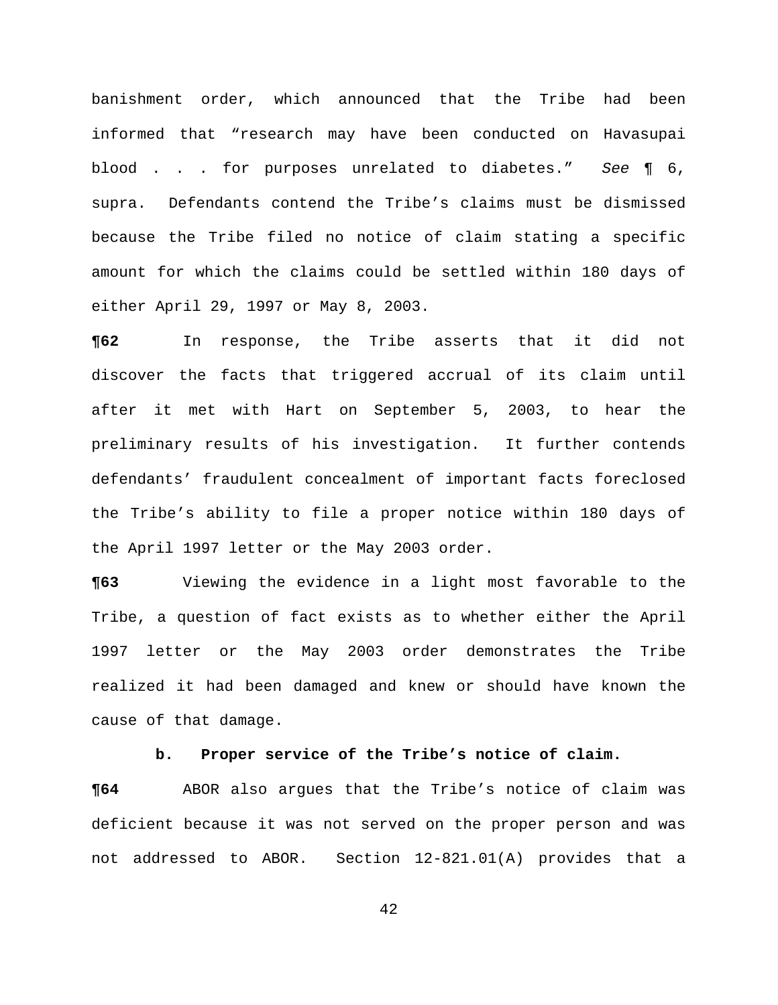banishment order, which announced that the Tribe had been informed that "research may have been conducted on Havasupai blood . . . for purposes unrelated to diabetes." *See* ¶ 6, supra. Defendants contend the Tribe's claims must be dismissed because the Tribe filed no notice of claim stating a specific amount for which the claims could be settled within 180 days of either April 29, 1997 or May 8, 2003.

**¶62** In response, the Tribe asserts that it did not discover the facts that triggered accrual of its claim until after it met with Hart on September 5, 2003, to hear the preliminary results of his investigation. It further contends defendants' fraudulent concealment of important facts foreclosed the Tribe's ability to file a proper notice within 180 days of the April 1997 letter or the May 2003 order.

**¶63** Viewing the evidence in a light most favorable to the Tribe, a question of fact exists as to whether either the April 1997 letter or the May 2003 order demonstrates the Tribe realized it had been damaged and knew or should have known the cause of that damage.

## **b. Proper service of the Tribe's notice of claim.**

**¶64** ABOR also argues that the Tribe's notice of claim was deficient because it was not served on the proper person and was not addressed to ABOR. Section 12-821.01(A) provides that a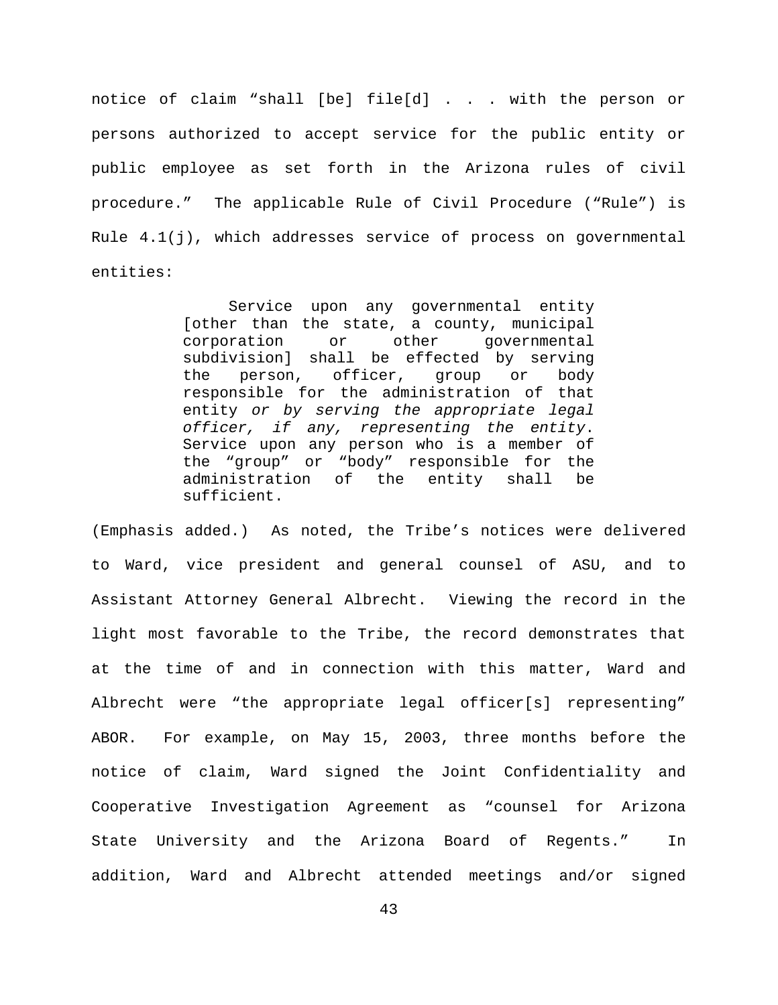notice of claim "shall [be] file[d] . . . with the person or persons authorized to accept service for the public entity or public employee as set forth in the Arizona rules of civil procedure." The applicable Rule of Civil Procedure ("Rule") is Rule  $4.1(j)$ , which addresses service of process on governmental entities:

> Service upon any governmental entity [other than the state, a county, municipal corporation or other governmental subdivision] shall be effected by serving the person, officer, group or body responsible for the administration of that entity *or by serving the appropriate legal officer, if any, representing the entity*. Service upon any person who is a member of the "group" or "body" responsible for the administration of the entity shall be sufficient.

(Emphasis added.) As noted, the Tribe's notices were delivered to Ward, vice president and general counsel of ASU, and to Assistant Attorney General Albrecht. Viewing the record in the light most favorable to the Tribe, the record demonstrates that at the time of and in connection with this matter, Ward and Albrecht were "the appropriate legal officer[s] representing" ABOR. For example, on May 15, 2003, three months before the notice of claim, Ward signed the Joint Confidentiality and Cooperative Investigation Agreement as "counsel for Arizona State University and the Arizona Board of Regents." In addition, Ward and Albrecht attended meetings and/or signed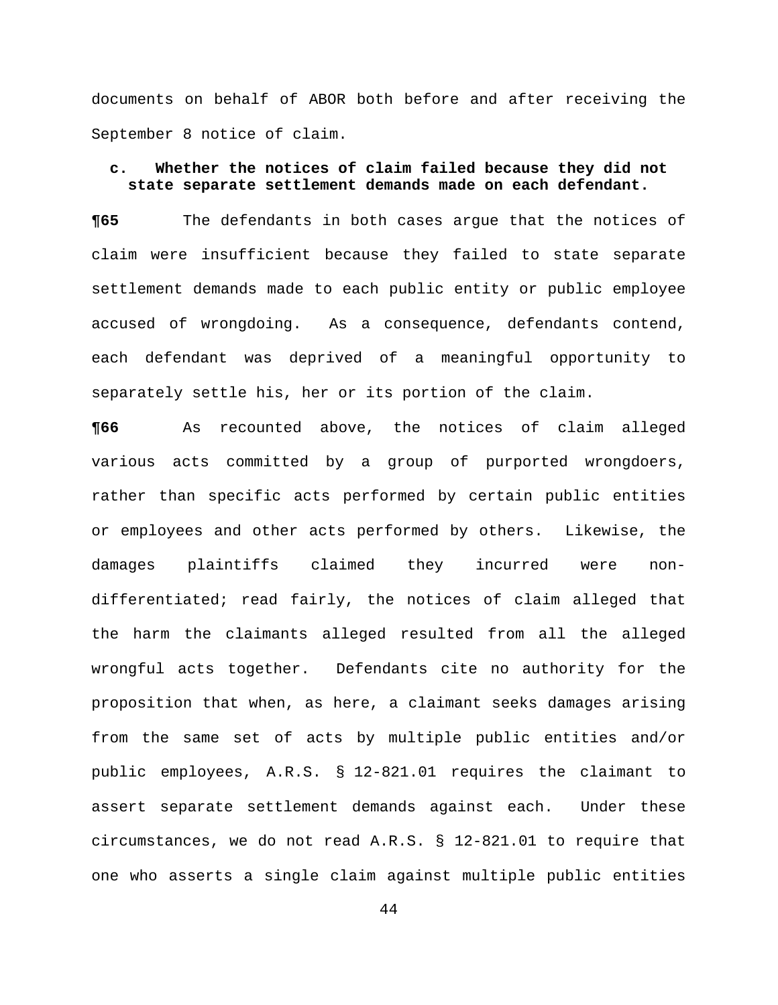documents on behalf of ABOR both before and after receiving the September 8 notice of claim.

## **c. Whether the notices of claim failed because they did not state separate settlement demands made on each defendant.**

**¶65** The defendants in both cases argue that the notices of claim were insufficient because they failed to state separate settlement demands made to each public entity or public employee accused of wrongdoing. As a consequence, defendants contend, each defendant was deprived of a meaningful opportunity to separately settle his, her or its portion of the claim.

**¶66** As recounted above, the notices of claim alleged various acts committed by a group of purported wrongdoers, rather than specific acts performed by certain public entities or employees and other acts performed by others. Likewise, the damages plaintiffs claimed they incurred were nondifferentiated; read fairly, the notices of claim alleged that the harm the claimants alleged resulted from all the alleged wrongful acts together. Defendants cite no authority for the proposition that when, as here, a claimant seeks damages arising from the same set of acts by multiple public entities and/or public employees, A.R.S. § 12-821.01 requires the claimant to assert separate settlement demands against each. Under these circumstances, we do not read A.R.S. § 12-821.01 to require that one who asserts a single claim against multiple public entities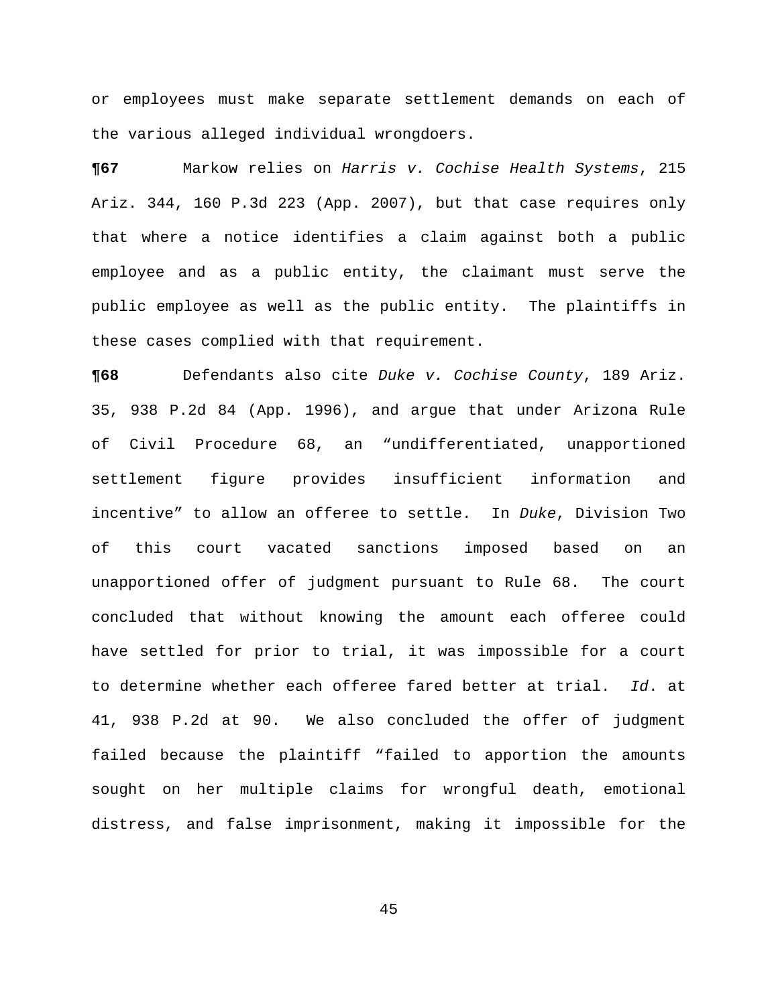or employees must make separate settlement demands on each of the various alleged individual wrongdoers.

**¶67** Markow relies on *Harris v. Cochise Health Systems*, 215 Ariz. 344, 160 P.3d 223 (App. 2007), but that case requires only that where a notice identifies a claim against both a public employee and as a public entity, the claimant must serve the public employee as well as the public entity. The plaintiffs in these cases complied with that requirement.

**¶68** Defendants also cite *Duke v. Cochise County*, 189 Ariz. 35, 938 P.2d 84 (App. 1996), and argue that under Arizona Rule of Civil Procedure 68, an "undifferentiated, unapportioned settlement figure provides insufficient information and incentive" to allow an offeree to settle. In *Duke*, Division Two of this court vacated sanctions imposed based on an unapportioned offer of judgment pursuant to Rule 68. The court concluded that without knowing the amount each offeree could have settled for prior to trial, it was impossible for a court to determine whether each offeree fared better at trial. *Id*. at 41, 938 P.2d at 90. We also concluded the offer of judgment failed because the plaintiff "failed to apportion the amounts sought on her multiple claims for wrongful death, emotional distress, and false imprisonment, making it impossible for the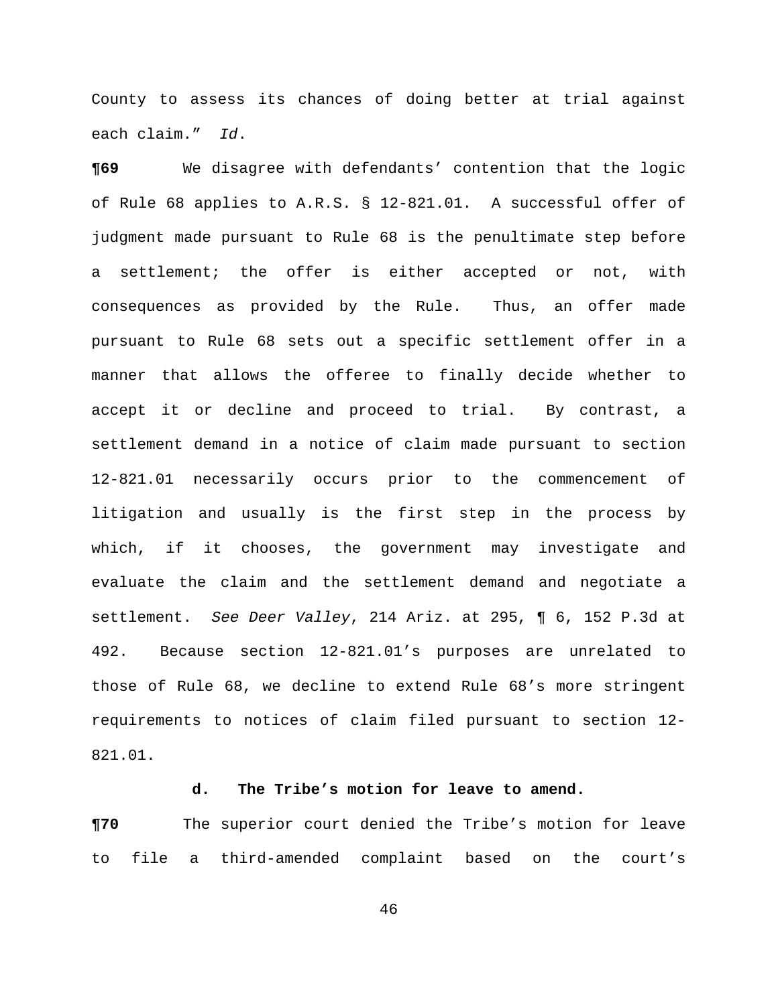County to assess its chances of doing better at trial against each claim." *Id*.

**¶69** We disagree with defendants' contention that the logic of Rule 68 applies to A.R.S. § 12-821.01. A successful offer of judgment made pursuant to Rule 68 is the penultimate step before a settlement; the offer is either accepted or not, with consequences as provided by the Rule. Thus, an offer made pursuant to Rule 68 sets out a specific settlement offer in a manner that allows the offeree to finally decide whether to accept it or decline and proceed to trial. By contrast, a settlement demand in a notice of claim made pursuant to section 12-821.01 necessarily occurs prior to the commencement of litigation and usually is the first step in the process by which, if it chooses, the government may investigate and evaluate the claim and the settlement demand and negotiate a settlement. *See Deer Valley*, 214 Ariz. at 295, ¶ 6, 152 P.3d at 492. Because section 12-821.01's purposes are unrelated to those of Rule 68, we decline to extend Rule 68's more stringent requirements to notices of claim filed pursuant to section 12- 821.01.

## **d. The Tribe's motion for leave to amend.**

**¶70** The superior court denied the Tribe's motion for leave to file a third-amended complaint based on the court's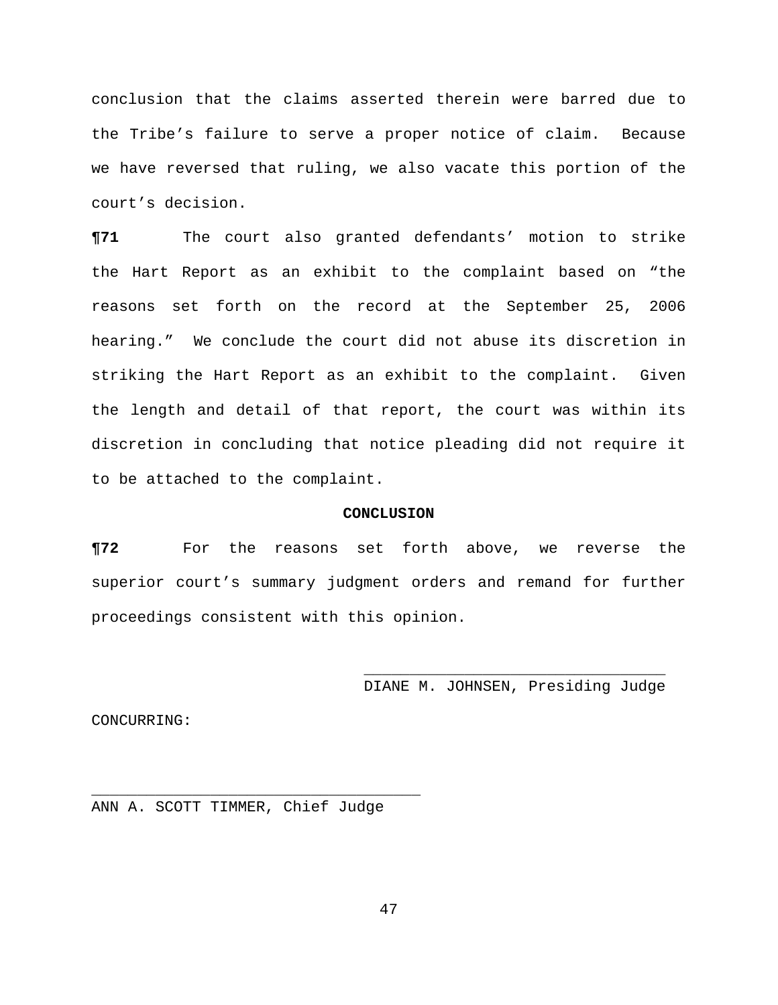conclusion that the claims asserted therein were barred due to the Tribe's failure to serve a proper notice of claim. Because we have reversed that ruling, we also vacate this portion of the court's decision.

**¶71** The court also granted defendants' motion to strike the Hart Report as an exhibit to the complaint based on "the reasons set forth on the record at the September 25, 2006 hearing." We conclude the court did not abuse its discretion in striking the Hart Report as an exhibit to the complaint. Given the length and detail of that report, the court was within its discretion in concluding that notice pleading did not require it to be attached to the complaint.

#### **CONCLUSION**

**¶72** For the reasons set forth above, we reverse the superior court's summary judgment orders and remand for further proceedings consistent with this opinion.

> \_\_\_\_\_\_\_\_\_\_\_\_\_\_\_\_\_\_\_\_\_\_\_\_\_\_\_\_\_\_\_\_\_ DIANE M. JOHNSEN, Presiding Judge

CONCURRING:

ANN A. SCOTT TIMMER, Chief Judge

\_\_\_\_\_\_\_\_\_\_\_\_\_\_\_\_\_\_\_\_\_\_\_\_\_\_\_\_\_\_\_\_\_\_\_\_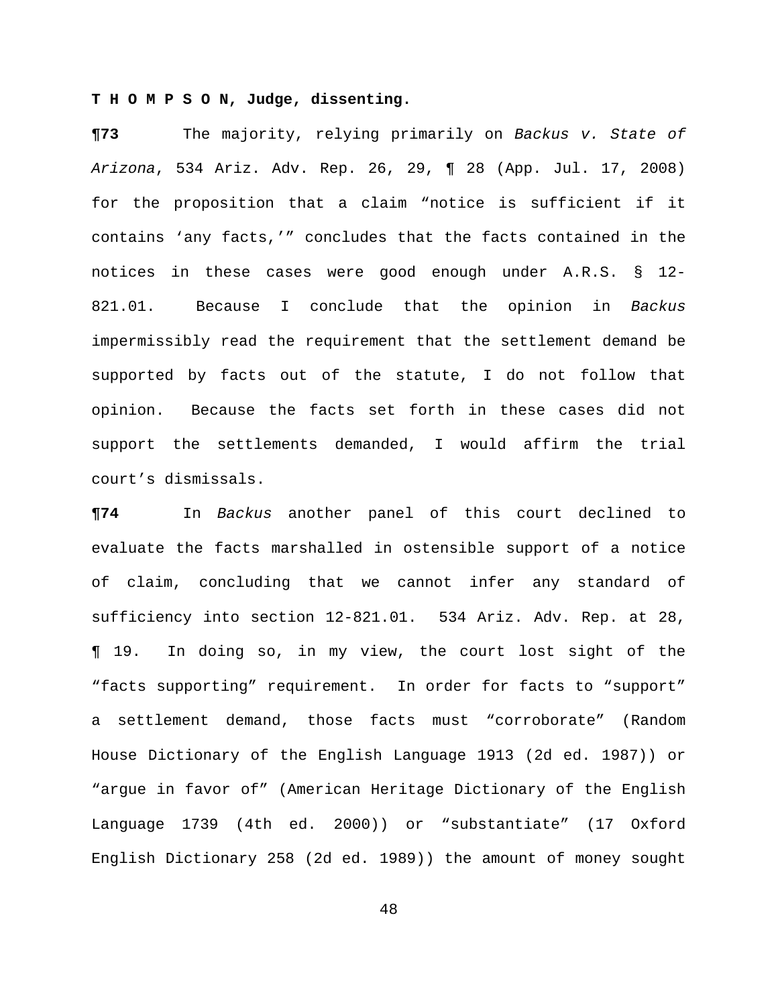## **T H O M P S O N, Judge, dissenting.**

**¶73** The majority, relying primarily on *Backus v. State of Arizona*, 534 Ariz. Adv. Rep. 26, 29, ¶ 28 (App. Jul. 17, 2008) for the proposition that a claim "notice is sufficient if it contains 'any facts,'" concludes that the facts contained in the notices in these cases were good enough under A.R.S. § 12- 821.01. Because I conclude that the opinion in *Backus* impermissibly read the requirement that the settlement demand be supported by facts out of the statute, I do not follow that opinion. Because the facts set forth in these cases did not support the settlements demanded, I would affirm the trial court's dismissals.

**¶74** In *Backus* another panel of this court declined to evaluate the facts marshalled in ostensible support of a notice of claim, concluding that we cannot infer any standard of sufficiency into section 12-821.01. 534 Ariz. Adv. Rep. at 28, ¶ 19. In doing so, in my view, the court lost sight of the "facts supporting" requirement. In order for facts to "support" a settlement demand, those facts must "corroborate" (Random House Dictionary of the English Language 1913 (2d ed. 1987)) or "argue in favor of" (American Heritage Dictionary of the English Language 1739 (4th ed. 2000)) or "substantiate" (17 Oxford English Dictionary 258 (2d ed. 1989)) the amount of money sought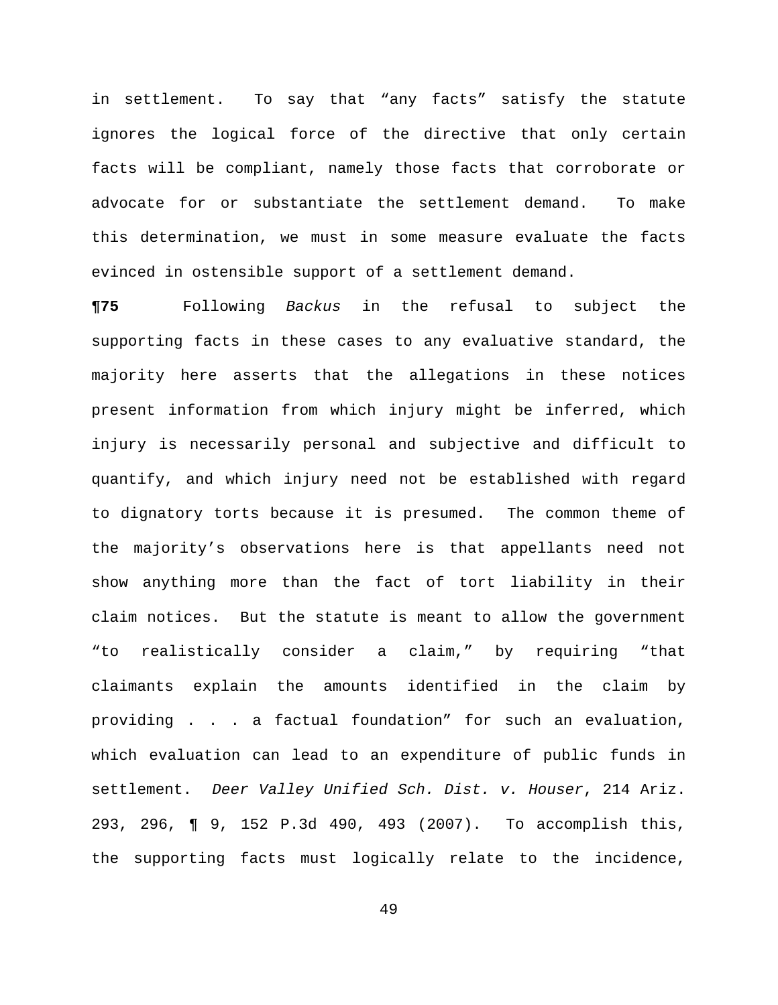in settlement. To say that "any facts" satisfy the statute ignores the logical force of the directive that only certain facts will be compliant, namely those facts that corroborate or advocate for or substantiate the settlement demand. To make this determination, we must in some measure evaluate the facts evinced in ostensible support of a settlement demand.

**¶75** Following *Backus* in the refusal to subject the supporting facts in these cases to any evaluative standard, the majority here asserts that the allegations in these notices present information from which injury might be inferred, which injury is necessarily personal and subjective and difficult to quantify, and which injury need not be established with regard to dignatory torts because it is presumed. The common theme of the majority's observations here is that appellants need not show anything more than the fact of tort liability in their claim notices. But the statute is meant to allow the government "to realistically consider a claim," by requiring "that claimants explain the amounts identified in the claim by providing . . . a factual foundation" for such an evaluation, which evaluation can lead to an expenditure of public funds in settlement. *Deer Valley Unified Sch. Dist. v. Houser*, 214 Ariz. 293, 296, ¶ 9, 152 P.3d 490, 493 (2007). To accomplish this, the supporting facts must logically relate to the incidence,